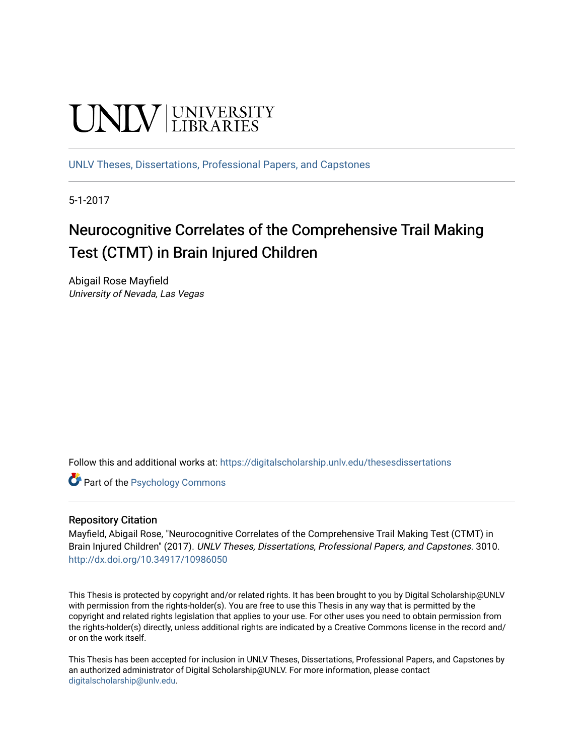# UNIV UNIVERSITY

[UNLV Theses, Dissertations, Professional Papers, and Capstones](https://digitalscholarship.unlv.edu/thesesdissertations)

5-1-2017

# Neurocognitive Correlates of the Comprehensive Trail Making Test (CTMT) in Brain Injured Children

Abigail Rose Mayfield University of Nevada, Las Vegas

Follow this and additional works at: [https://digitalscholarship.unlv.edu/thesesdissertations](https://digitalscholarship.unlv.edu/thesesdissertations?utm_source=digitalscholarship.unlv.edu%2Fthesesdissertations%2F3010&utm_medium=PDF&utm_campaign=PDFCoverPages)

Part of the [Psychology Commons](http://network.bepress.com/hgg/discipline/404?utm_source=digitalscholarship.unlv.edu%2Fthesesdissertations%2F3010&utm_medium=PDF&utm_campaign=PDFCoverPages) 

#### Repository Citation

Mayfield, Abigail Rose, "Neurocognitive Correlates of the Comprehensive Trail Making Test (CTMT) in Brain Injured Children" (2017). UNLV Theses, Dissertations, Professional Papers, and Capstones. 3010. <http://dx.doi.org/10.34917/10986050>

This Thesis is protected by copyright and/or related rights. It has been brought to you by Digital Scholarship@UNLV with permission from the rights-holder(s). You are free to use this Thesis in any way that is permitted by the copyright and related rights legislation that applies to your use. For other uses you need to obtain permission from the rights-holder(s) directly, unless additional rights are indicated by a Creative Commons license in the record and/ or on the work itself.

This Thesis has been accepted for inclusion in UNLV Theses, Dissertations, Professional Papers, and Capstones by an authorized administrator of Digital Scholarship@UNLV. For more information, please contact [digitalscholarship@unlv.edu](mailto:digitalscholarship@unlv.edu).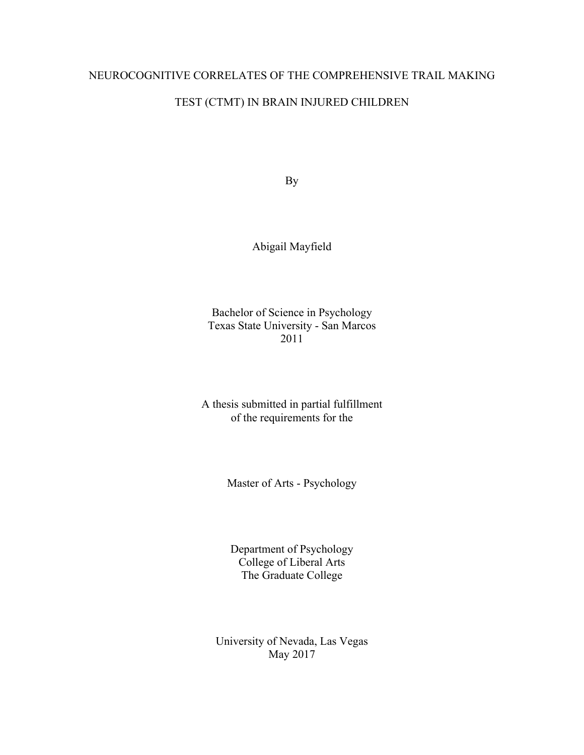# NEUROCOGNITIVE CORRELATES OF THE COMPREHENSIVE TRAIL MAKING

# TEST (CTMT) IN BRAIN INJURED CHILDREN

By

Abigail Mayfield

Bachelor of Science in Psychology Texas State University - San Marcos 2011

A thesis submitted in partial fulfillment of the requirements for the

Master of Arts - Psychology

Department of Psychology College of Liberal Arts The Graduate College

University of Nevada, Las Vegas May 2017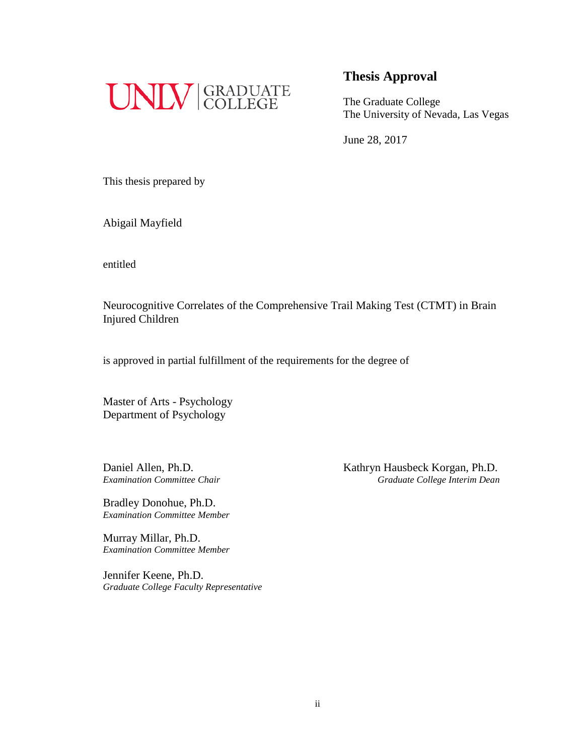

The Graduate College The University of Nevada, Las Vegas

June 28, 2017

This thesis prepared by

Abigail Mayfield

entitled

Neurocognitive Correlates of the Comprehensive Trail Making Test (CTMT) in Brain Injured Children

is approved in partial fulfillment of the requirements for the degree of

Master of Arts - Psychology Department of Psychology

Bradley Donohue, Ph.D. *Examination Committee Member*

Murray Millar, Ph.D. *Examination Committee Member*

Jennifer Keene, Ph.D. *Graduate College Faculty Representative*

Daniel Allen, Ph.D. Kathryn Hausbeck Korgan, Ph.D. *Examination Committee Chair Graduate College Interim Dean*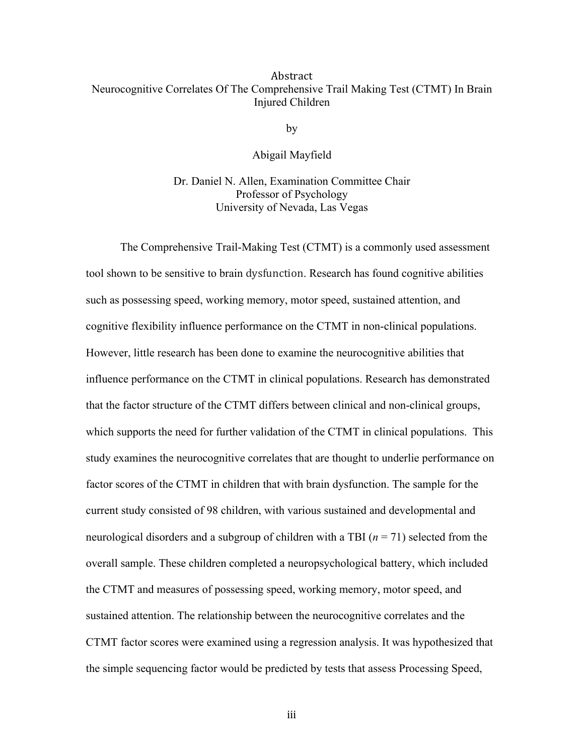#### Abstract Neurocognitive Correlates Of The Comprehensive Trail Making Test (CTMT) In Brain Injured Children

by

Abigail Mayfield

Dr. Daniel N. Allen, Examination Committee Chair Professor of Psychology University of Nevada, Las Vegas

The Comprehensive Trail-Making Test (CTMT) is a commonly used assessment tool shown to be sensitive to brain dysfunction. Research has found cognitive abilities such as possessing speed, working memory, motor speed, sustained attention, and cognitive flexibility influence performance on the CTMT in non-clinical populations. However, little research has been done to examine the neurocognitive abilities that influence performance on the CTMT in clinical populations. Research has demonstrated that the factor structure of the CTMT differs between clinical and non-clinical groups, which supports the need for further validation of the CTMT in clinical populations. This study examines the neurocognitive correlates that are thought to underlie performance on factor scores of the CTMT in children that with brain dysfunction. The sample for the current study consisted of 98 children, with various sustained and developmental and neurological disorders and a subgroup of children with a TBI (*n* = 71) selected from the overall sample. These children completed a neuropsychological battery, which included the CTMT and measures of possessing speed, working memory, motor speed, and sustained attention. The relationship between the neurocognitive correlates and the CTMT factor scores were examined using a regression analysis. It was hypothesized that the simple sequencing factor would be predicted by tests that assess Processing Speed,

iii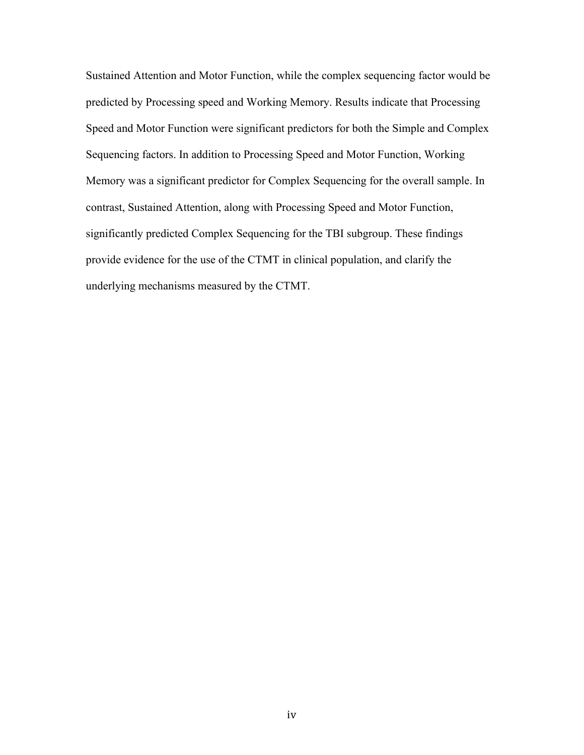Sustained Attention and Motor Function, while the complex sequencing factor would be predicted by Processing speed and Working Memory. Results indicate that Processing Speed and Motor Function were significant predictors for both the Simple and Complex Sequencing factors. In addition to Processing Speed and Motor Function, Working Memory was a significant predictor for Complex Sequencing for the overall sample. In contrast, Sustained Attention, along with Processing Speed and Motor Function, significantly predicted Complex Sequencing for the TBI subgroup. These findings provide evidence for the use of the CTMT in clinical population, and clarify the underlying mechanisms measured by the CTMT.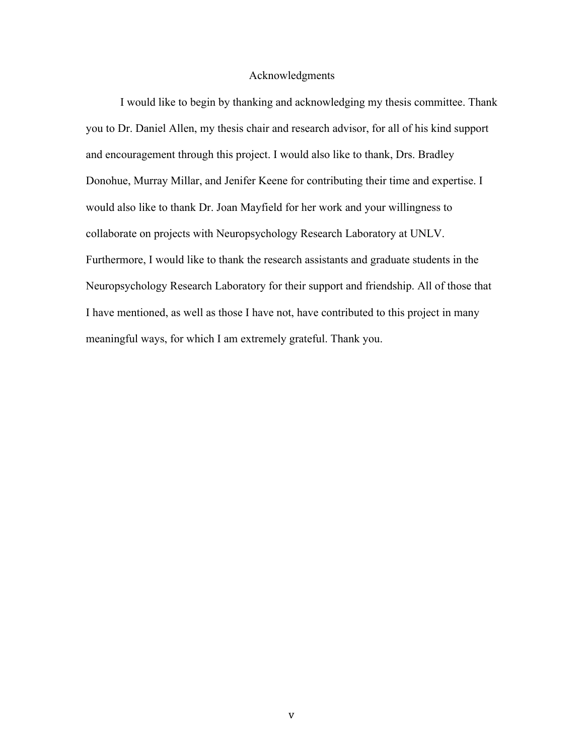#### Acknowledgments

I would like to begin by thanking and acknowledging my thesis committee. Thank you to Dr. Daniel Allen, my thesis chair and research advisor, for all of his kind support and encouragement through this project. I would also like to thank, Drs. Bradley Donohue, Murray Millar, and Jenifer Keene for contributing their time and expertise. I would also like to thank Dr. Joan Mayfield for her work and your willingness to collaborate on projects with Neuropsychology Research Laboratory at UNLV. Furthermore, I would like to thank the research assistants and graduate students in the Neuropsychology Research Laboratory for their support and friendship. All of those that I have mentioned, as well as those I have not, have contributed to this project in many meaningful ways, for which I am extremely grateful. Thank you.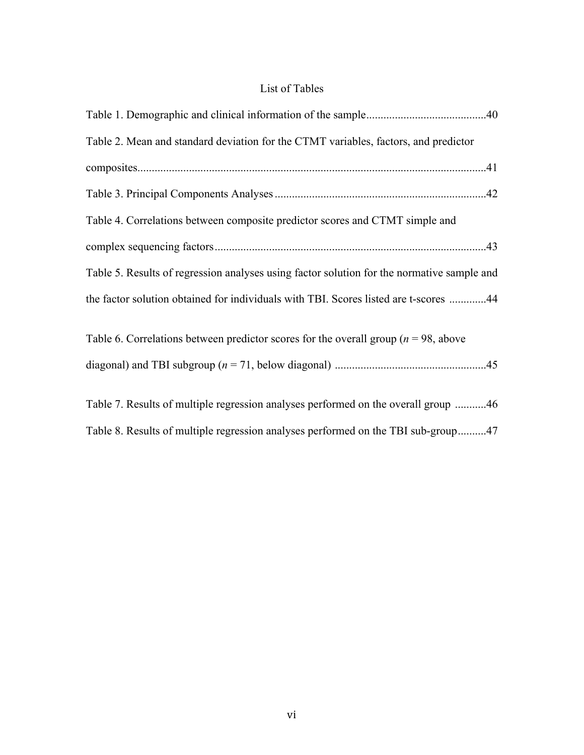# List of Tables

| Table 2. Mean and standard deviation for the CTMT variables, factors, and predictor        |  |
|--------------------------------------------------------------------------------------------|--|
|                                                                                            |  |
|                                                                                            |  |
| Table 4. Correlations between composite predictor scores and CTMT simple and               |  |
|                                                                                            |  |
| Table 5. Results of regression analyses using factor solution for the normative sample and |  |
| the factor solution obtained for individuals with TBI. Scores listed are t-scores 44       |  |
| Table 6. Correlations between predictor scores for the overall group ( $n = 98$ , above    |  |
|                                                                                            |  |

| Table 7. Results of multiple regression analyses performed on the overall group 46 |  |
|------------------------------------------------------------------------------------|--|
| Table 8. Results of multiple regression analyses performed on the TBI sub-group47  |  |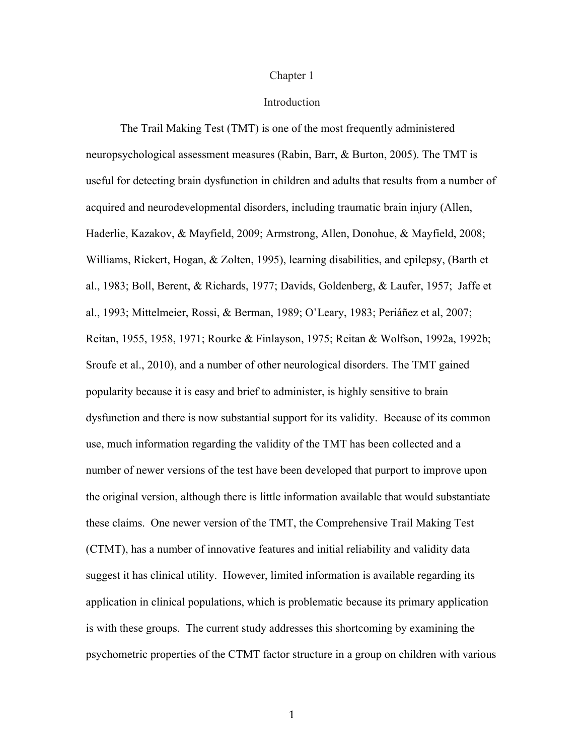#### Chapter 1

#### Introduction

The Trail Making Test (TMT) is one of the most frequently administered neuropsychological assessment measures (Rabin, Barr, & Burton, 2005). The TMT is useful for detecting brain dysfunction in children and adults that results from a number of acquired and neurodevelopmental disorders, including traumatic brain injury (Allen, Haderlie, Kazakov, & Mayfield, 2009; Armstrong, Allen, Donohue, & Mayfield, 2008; Williams, Rickert, Hogan, & Zolten, 1995), learning disabilities, and epilepsy, (Barth et al., 1983; Boll, Berent, & Richards, 1977; Davids, Goldenberg, & Laufer, 1957; Jaffe et al., 1993; Mittelmeier, Rossi, & Berman, 1989; O'Leary, 1983; Periáñez et al, 2007; Reitan, 1955, 1958, 1971; Rourke & Finlayson, 1975; Reitan & Wolfson, 1992a, 1992b; Sroufe et al., 2010), and a number of other neurological disorders. The TMT gained popularity because it is easy and brief to administer, is highly sensitive to brain dysfunction and there is now substantial support for its validity. Because of its common use, much information regarding the validity of the TMT has been collected and a number of newer versions of the test have been developed that purport to improve upon the original version, although there is little information available that would substantiate these claims. One newer version of the TMT, the Comprehensive Trail Making Test (CTMT), has a number of innovative features and initial reliability and validity data suggest it has clinical utility. However, limited information is available regarding its application in clinical populations, which is problematic because its primary application is with these groups. The current study addresses this shortcoming by examining the psychometric properties of the CTMT factor structure in a group on children with various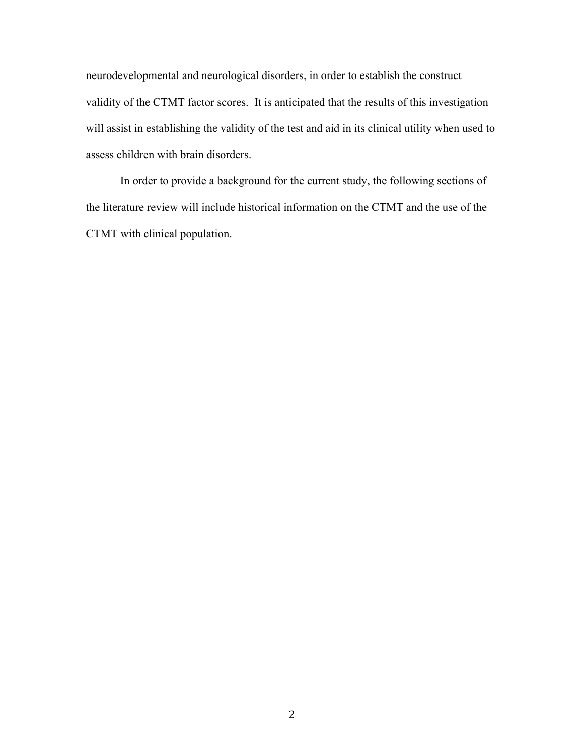neurodevelopmental and neurological disorders, in order to establish the construct validity of the CTMT factor scores. It is anticipated that the results of this investigation will assist in establishing the validity of the test and aid in its clinical utility when used to assess children with brain disorders.

In order to provide a background for the current study, the following sections of the literature review will include historical information on the CTMT and the use of the CTMT with clinical population.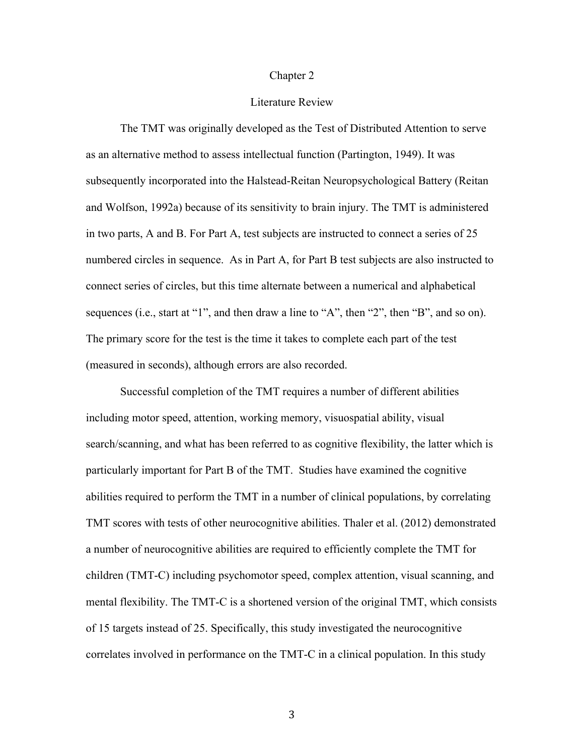#### Chapter 2

#### Literature Review

The TMT was originally developed as the Test of Distributed Attention to serve as an alternative method to assess intellectual function (Partington, 1949). It was subsequently incorporated into the Halstead-Reitan Neuropsychological Battery (Reitan and Wolfson, 1992a) because of its sensitivity to brain injury. The TMT is administered in two parts, A and B. For Part A, test subjects are instructed to connect a series of 25 numbered circles in sequence. As in Part A, for Part B test subjects are also instructed to connect series of circles, but this time alternate between a numerical and alphabetical sequences (i.e., start at "1", and then draw a line to "A", then "2", then "B", and so on). The primary score for the test is the time it takes to complete each part of the test (measured in seconds), although errors are also recorded.

Successful completion of the TMT requires a number of different abilities including motor speed, attention, working memory, visuospatial ability, visual search/scanning, and what has been referred to as cognitive flexibility, the latter which is particularly important for Part B of the TMT. Studies have examined the cognitive abilities required to perform the TMT in a number of clinical populations, by correlating TMT scores with tests of other neurocognitive abilities. Thaler et al. (2012) demonstrated a number of neurocognitive abilities are required to efficiently complete the TMT for children (TMT-C) including psychomotor speed, complex attention, visual scanning, and mental flexibility. The TMT-C is a shortened version of the original TMT, which consists of 15 targets instead of 25. Specifically, this study investigated the neurocognitive correlates involved in performance on the TMT-C in a clinical population. In this study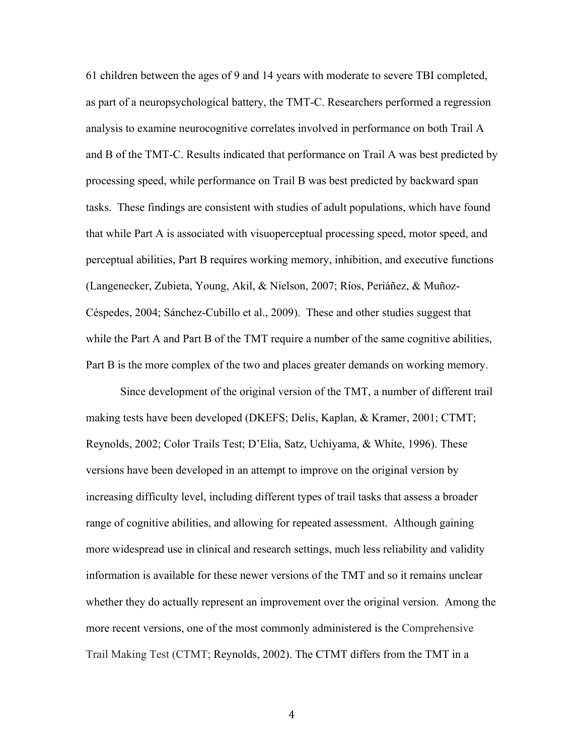61 children between the ages of 9 and 14 years with moderate to severe TBI completed, as part of a neuropsychological battery, the TMT-C. Researchers performed a regression analysis to examine neurocognitive correlates involved in performance on both Trail A and B of the TMT-C. Results indicated that performance on Trail A was best predicted by processing speed, while performance on Trail B was best predicted by backward span tasks. These findings are consistent with studies of adult populations, which have found that while Part A is associated with visuoperceptual processing speed, motor speed, and perceptual abilities, Part B requires working memory, inhibition, and executive functions (Langenecker, Zubieta, Young, Akil, & Nielson, 2007; Ríos, Periáñez, & Muñoz-Céspedes, 2004; Sánchez-Cubillo et al., 2009). These and other studies suggest that while the Part A and Part B of the TMT require a number of the same cognitive abilities, Part B is the more complex of the two and places greater demands on working memory.

Since development of the original version of the TMT, a number of different trail making tests have been developed (DKEFS; Delis, Kaplan, & Kramer, 2001; CTMT; Reynolds, 2002; Color Trails Test; D'Elia, Satz, Uchiyama, & White, 1996). These versions have been developed in an attempt to improve on the original version by increasing difficulty level, including different types of trail tasks that assess a broader range of cognitive abilities, and allowing for repeated assessment. Although gaining more widespread use in clinical and research settings, much less reliability and validity information is available for these newer versions of the TMT and so it remains unclear whether they do actually represent an improvement over the original version. Among the more recent versions, one of the most commonly administered is the Comprehensive Trail Making Test (CTMT; Reynolds, 2002). The CTMT differs from the TMT in a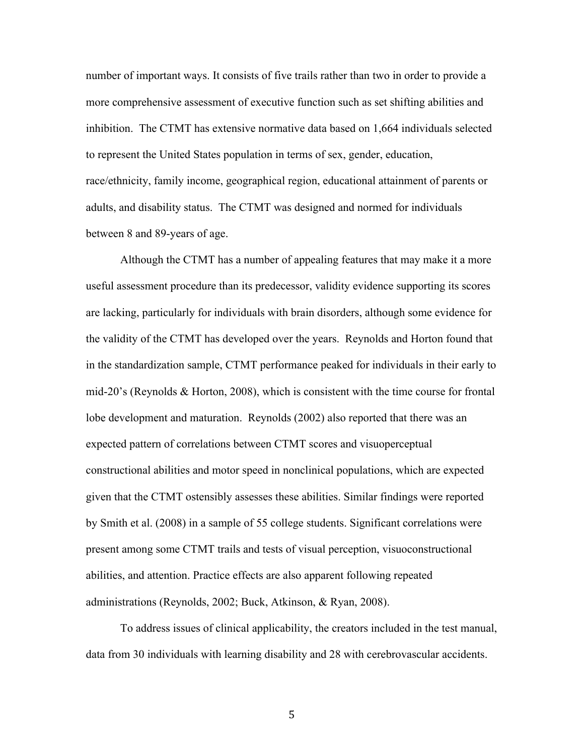number of important ways. It consists of five trails rather than two in order to provide a more comprehensive assessment of executive function such as set shifting abilities and inhibition. The CTMT has extensive normative data based on 1,664 individuals selected to represent the United States population in terms of sex, gender, education, race/ethnicity, family income, geographical region, educational attainment of parents or adults, and disability status. The CTMT was designed and normed for individuals between 8 and 89-years of age.

Although the CTMT has a number of appealing features that may make it a more useful assessment procedure than its predecessor, validity evidence supporting its scores are lacking, particularly for individuals with brain disorders, although some evidence for the validity of the CTMT has developed over the years. Reynolds and Horton found that in the standardization sample, CTMT performance peaked for individuals in their early to mid-20's (Reynolds & Horton, 2008), which is consistent with the time course for frontal lobe development and maturation. Reynolds (2002) also reported that there was an expected pattern of correlations between CTMT scores and visuoperceptual constructional abilities and motor speed in nonclinical populations, which are expected given that the CTMT ostensibly assesses these abilities. Similar findings were reported by Smith et al. (2008) in a sample of 55 college students. Significant correlations were present among some CTMT trails and tests of visual perception, visuoconstructional abilities, and attention. Practice effects are also apparent following repeated administrations (Reynolds, 2002; Buck, Atkinson, & Ryan, 2008).

To address issues of clinical applicability, the creators included in the test manual, data from 30 individuals with learning disability and 28 with cerebrovascular accidents.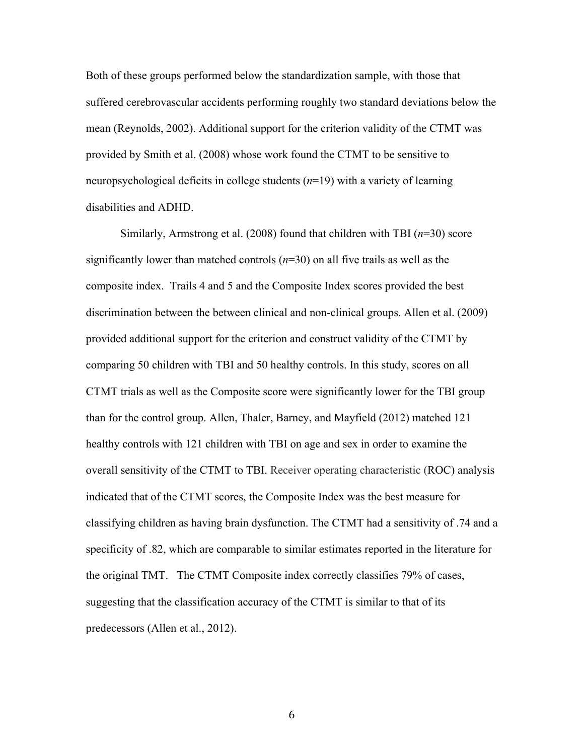Both of these groups performed below the standardization sample, with those that suffered cerebrovascular accidents performing roughly two standard deviations below the mean (Reynolds, 2002). Additional support for the criterion validity of the CTMT was provided by Smith et al. (2008) whose work found the CTMT to be sensitive to neuropsychological deficits in college students (*n*=19) with a variety of learning disabilities and ADHD.

Similarly, Armstrong et al. (2008) found that children with TBI (*n*=30) score significantly lower than matched controls (*n*=30) on all five trails as well as the composite index. Trails 4 and 5 and the Composite Index scores provided the best discrimination between the between clinical and non-clinical groups. Allen et al. (2009) provided additional support for the criterion and construct validity of the CTMT by comparing 50 children with TBI and 50 healthy controls. In this study, scores on all CTMT trials as well as the Composite score were significantly lower for the TBI group than for the control group. Allen, Thaler, Barney, and Mayfield (2012) matched 121 healthy controls with 121 children with TBI on age and sex in order to examine the overall sensitivity of the CTMT to TBI. Receiver operating characteristic (ROC) analysis indicated that of the CTMT scores, the Composite Index was the best measure for classifying children as having brain dysfunction. The CTMT had a sensitivity of .74 and a specificity of .82, which are comparable to similar estimates reported in the literature for the original TMT. The CTMT Composite index correctly classifies 79% of cases, suggesting that the classification accuracy of the CTMT is similar to that of its predecessors (Allen et al., 2012).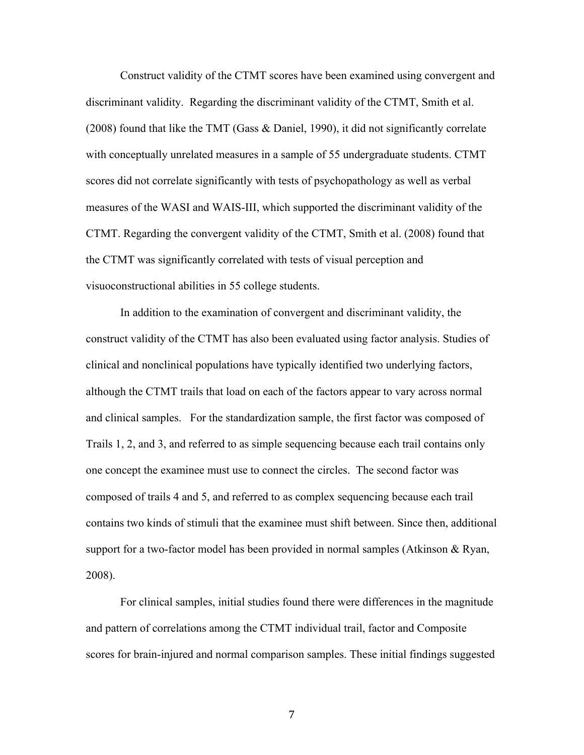Construct validity of the CTMT scores have been examined using convergent and discriminant validity. Regarding the discriminant validity of the CTMT, Smith et al. (2008) found that like the TMT (Gass & Daniel, 1990), it did not significantly correlate with conceptually unrelated measures in a sample of 55 undergraduate students. CTMT scores did not correlate significantly with tests of psychopathology as well as verbal measures of the WASI and WAIS-III, which supported the discriminant validity of the CTMT. Regarding the convergent validity of the CTMT, Smith et al. (2008) found that the CTMT was significantly correlated with tests of visual perception and visuoconstructional abilities in 55 college students.

In addition to the examination of convergent and discriminant validity, the construct validity of the CTMT has also been evaluated using factor analysis. Studies of clinical and nonclinical populations have typically identified two underlying factors, although the CTMT trails that load on each of the factors appear to vary across normal and clinical samples. For the standardization sample, the first factor was composed of Trails 1, 2, and 3, and referred to as simple sequencing because each trail contains only one concept the examinee must use to connect the circles. The second factor was composed of trails 4 and 5, and referred to as complex sequencing because each trail contains two kinds of stimuli that the examinee must shift between. Since then, additional support for a two-factor model has been provided in normal samples (Atkinson & Ryan, 2008).

For clinical samples, initial studies found there were differences in the magnitude and pattern of correlations among the CTMT individual trail, factor and Composite scores for brain-injured and normal comparison samples. These initial findings suggested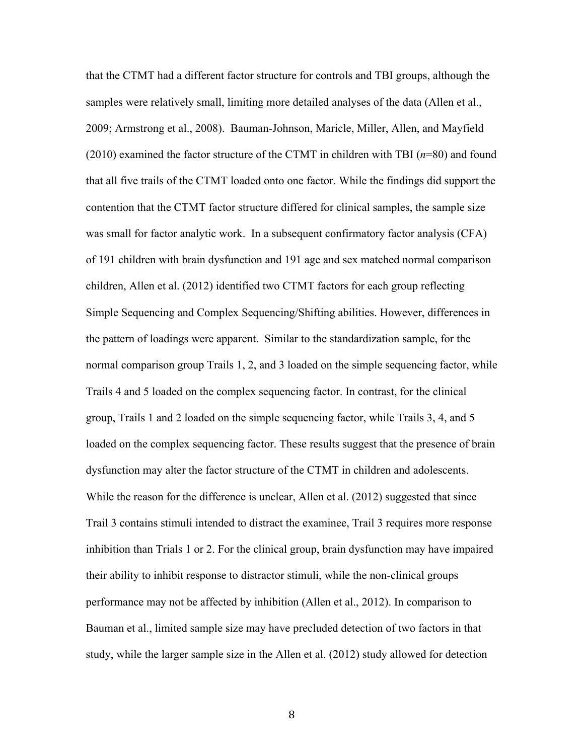that the CTMT had a different factor structure for controls and TBI groups, although the samples were relatively small, limiting more detailed analyses of the data (Allen et al., 2009; Armstrong et al., 2008). Bauman-Johnson, Maricle, Miller, Allen, and Mayfield (2010) examined the factor structure of the CTMT in children with TBI (*n*=80) and found that all five trails of the CTMT loaded onto one factor. While the findings did support the contention that the CTMT factor structure differed for clinical samples, the sample size was small for factor analytic work. In a subsequent confirmatory factor analysis (CFA) of 191 children with brain dysfunction and 191 age and sex matched normal comparison children, Allen et al. (2012) identified two CTMT factors for each group reflecting Simple Sequencing and Complex Sequencing/Shifting abilities. However, differences in the pattern of loadings were apparent. Similar to the standardization sample, for the normal comparison group Trails 1, 2, and 3 loaded on the simple sequencing factor, while Trails 4 and 5 loaded on the complex sequencing factor. In contrast, for the clinical group, Trails 1 and 2 loaded on the simple sequencing factor, while Trails 3, 4, and 5 loaded on the complex sequencing factor. These results suggest that the presence of brain dysfunction may alter the factor structure of the CTMT in children and adolescents. While the reason for the difference is unclear, Allen et al. (2012) suggested that since Trail 3 contains stimuli intended to distract the examinee, Trail 3 requires more response inhibition than Trials 1 or 2. For the clinical group, brain dysfunction may have impaired their ability to inhibit response to distractor stimuli, while the non-clinical groups performance may not be affected by inhibition (Allen et al., 2012). In comparison to Bauman et al., limited sample size may have precluded detection of two factors in that study, while the larger sample size in the Allen et al. (2012) study allowed for detection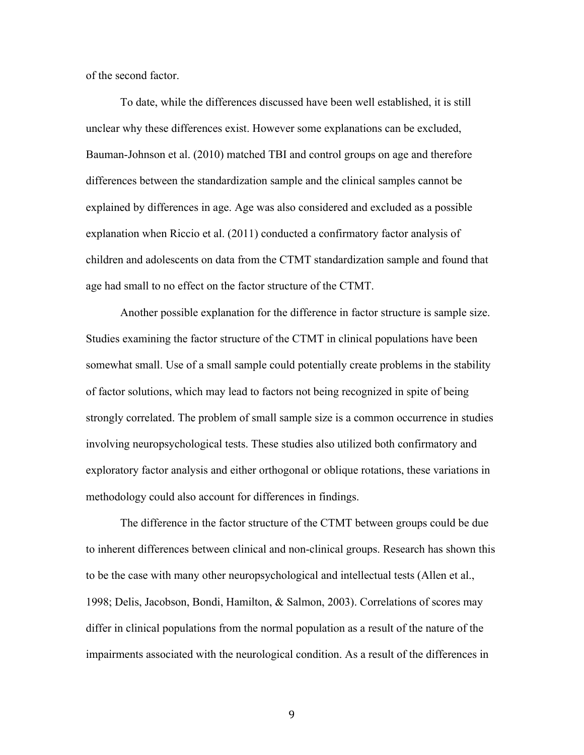of the second factor.

To date, while the differences discussed have been well established, it is still unclear why these differences exist. However some explanations can be excluded, Bauman-Johnson et al. (2010) matched TBI and control groups on age and therefore differences between the standardization sample and the clinical samples cannot be explained by differences in age. Age was also considered and excluded as a possible explanation when Riccio et al. (2011) conducted a confirmatory factor analysis of children and adolescents on data from the CTMT standardization sample and found that age had small to no effect on the factor structure of the CTMT.

Another possible explanation for the difference in factor structure is sample size. Studies examining the factor structure of the CTMT in clinical populations have been somewhat small. Use of a small sample could potentially create problems in the stability of factor solutions, which may lead to factors not being recognized in spite of being strongly correlated. The problem of small sample size is a common occurrence in studies involving neuropsychological tests. These studies also utilized both confirmatory and exploratory factor analysis and either orthogonal or oblique rotations, these variations in methodology could also account for differences in findings.

The difference in the factor structure of the CTMT between groups could be due to inherent differences between clinical and non-clinical groups. Research has shown this to be the case with many other neuropsychological and intellectual tests (Allen et al., 1998; Delis, Jacobson, Bondi, Hamilton, & Salmon, 2003). Correlations of scores may differ in clinical populations from the normal population as a result of the nature of the impairments associated with the neurological condition. As a result of the differences in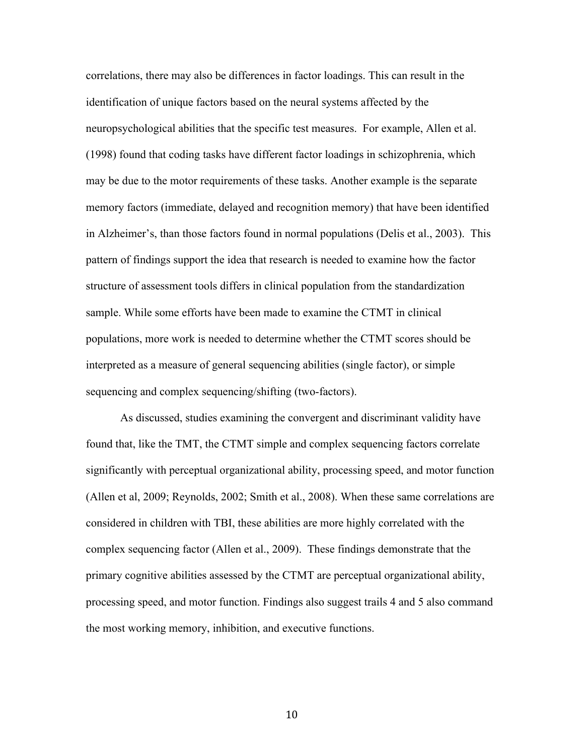correlations, there may also be differences in factor loadings. This can result in the identification of unique factors based on the neural systems affected by the neuropsychological abilities that the specific test measures. For example, Allen et al. (1998) found that coding tasks have different factor loadings in schizophrenia, which may be due to the motor requirements of these tasks. Another example is the separate memory factors (immediate, delayed and recognition memory) that have been identified in Alzheimer's, than those factors found in normal populations (Delis et al., 2003). This pattern of findings support the idea that research is needed to examine how the factor structure of assessment tools differs in clinical population from the standardization sample. While some efforts have been made to examine the CTMT in clinical populations, more work is needed to determine whether the CTMT scores should be interpreted as a measure of general sequencing abilities (single factor), or simple sequencing and complex sequencing/shifting (two-factors).

As discussed, studies examining the convergent and discriminant validity have found that, like the TMT, the CTMT simple and complex sequencing factors correlate significantly with perceptual organizational ability, processing speed, and motor function (Allen et al, 2009; Reynolds, 2002; Smith et al., 2008). When these same correlations are considered in children with TBI, these abilities are more highly correlated with the complex sequencing factor (Allen et al., 2009). These findings demonstrate that the primary cognitive abilities assessed by the CTMT are perceptual organizational ability, processing speed, and motor function. Findings also suggest trails 4 and 5 also command the most working memory, inhibition, and executive functions.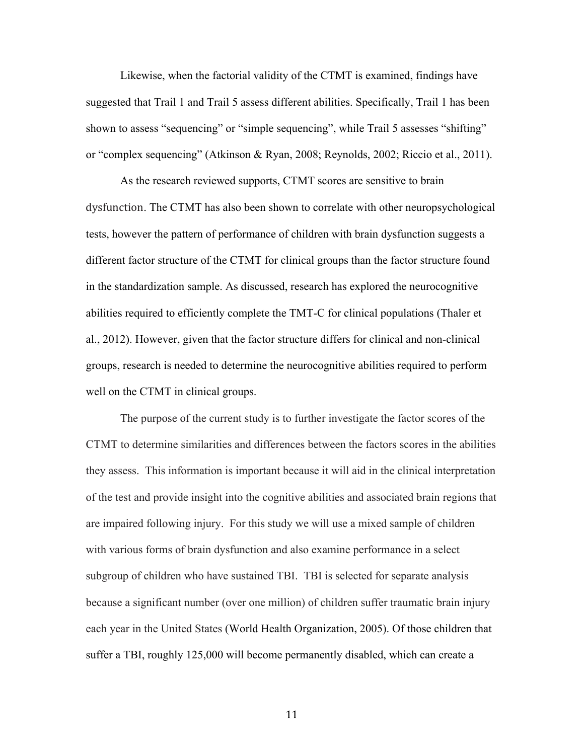Likewise, when the factorial validity of the CTMT is examined, findings have suggested that Trail 1 and Trail 5 assess different abilities. Specifically, Trail 1 has been shown to assess "sequencing" or "simple sequencing", while Trail 5 assesses "shifting" or "complex sequencing" (Atkinson & Ryan, 2008; Reynolds, 2002; Riccio et al., 2011).

As the research reviewed supports, CTMT scores are sensitive to brain dysfunction. The CTMT has also been shown to correlate with other neuropsychological tests, however the pattern of performance of children with brain dysfunction suggests a different factor structure of the CTMT for clinical groups than the factor structure found in the standardization sample. As discussed, research has explored the neurocognitive abilities required to efficiently complete the TMT-C for clinical populations (Thaler et al., 2012). However, given that the factor structure differs for clinical and non-clinical groups, research is needed to determine the neurocognitive abilities required to perform well on the CTMT in clinical groups.

The purpose of the current study is to further investigate the factor scores of the CTMT to determine similarities and differences between the factors scores in the abilities they assess. This information is important because it will aid in the clinical interpretation of the test and provide insight into the cognitive abilities and associated brain regions that are impaired following injury. For this study we will use a mixed sample of children with various forms of brain dysfunction and also examine performance in a select subgroup of children who have sustained TBI. TBI is selected for separate analysis because a significant number (over one million) of children suffer traumatic brain injury each year in the United States (World Health Organization, 2005). Of those children that suffer a TBI, roughly 125,000 will become permanently disabled, which can create a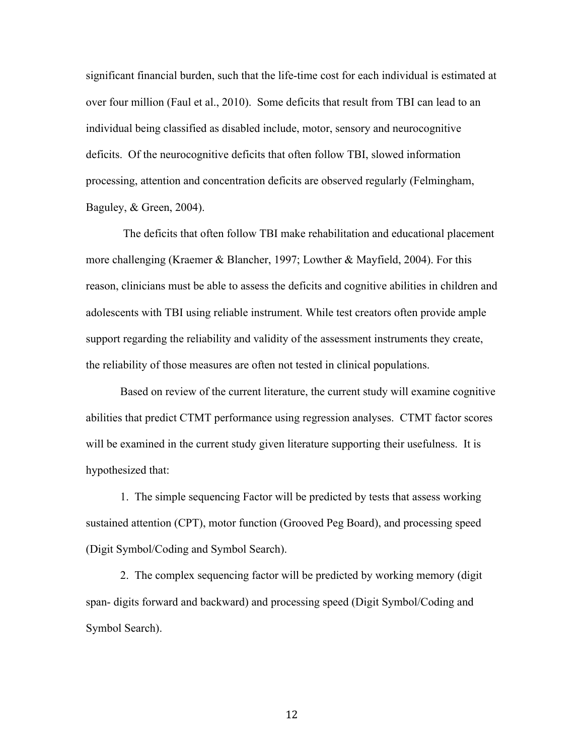significant financial burden, such that the life-time cost for each individual is estimated at over four million (Faul et al., 2010). Some deficits that result from TBI can lead to an individual being classified as disabled include, motor, sensory and neurocognitive deficits.Of the neurocognitive deficits that often follow TBI, slowed information processing, attention and concentration deficits are observed regularly (Felmingham, Baguley, & Green, 2004).

The deficits that often follow TBI make rehabilitation and educational placement more challenging (Kraemer & Blancher, 1997; Lowther & Mayfield, 2004). For this reason, clinicians must be able to assess the deficits and cognitive abilities in children and adolescents with TBI using reliable instrument. While test creators often provide ample support regarding the reliability and validity of the assessment instruments they create, the reliability of those measures are often not tested in clinical populations.

Based on review of the current literature, the current study will examine cognitive abilities that predict CTMT performance using regression analyses. CTMT factor scores will be examined in the current study given literature supporting their usefulness. It is hypothesized that:

1. The simple sequencing Factor will be predicted by tests that assess working sustained attention (CPT), motor function (Grooved Peg Board), and processing speed (Digit Symbol/Coding and Symbol Search).

2. The complex sequencing factor will be predicted by working memory (digit span- digits forward and backward) and processing speed (Digit Symbol/Coding and Symbol Search).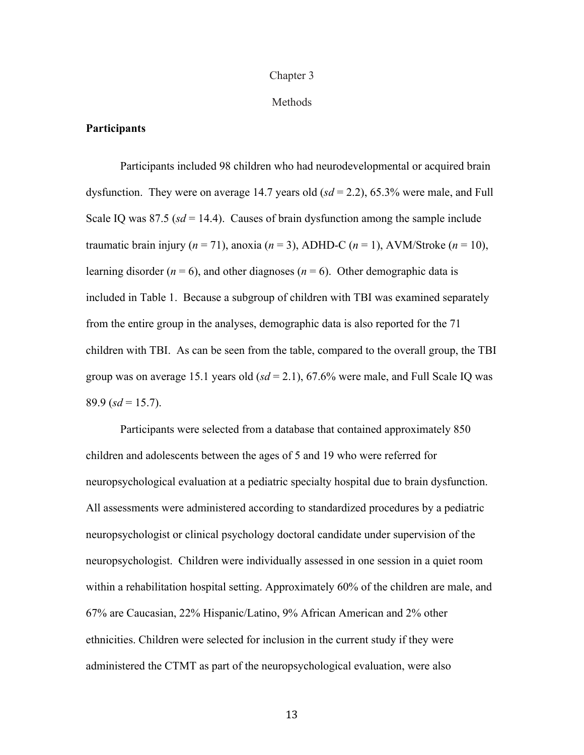#### Chapter 3

#### Methods

#### **Participants**

Participants included 98 children who had neurodevelopmental or acquired brain dysfunction. They were on average 14.7 years old (*sd* = 2.2), 65.3% were male, and Full Scale IQ was  $87.5$  ( $sd = 14.4$ ). Causes of brain dysfunction among the sample include traumatic brain injury ( $n = 71$ ), anoxia ( $n = 3$ ), ADHD-C ( $n = 1$ ), AVM/Stroke ( $n = 10$ ), learning disorder  $(n = 6)$ , and other diagnoses  $(n = 6)$ . Other demographic data is included in Table 1. Because a subgroup of children with TBI was examined separately from the entire group in the analyses, demographic data is also reported for the 71 children with TBI. As can be seen from the table, compared to the overall group, the TBI group was on average 15.1 years old  $(sd = 2.1)$ , 67.6% were male, and Full Scale IQ was 89.9 ( $sd = 15.7$ ).

Participants were selected from a database that contained approximately 850 children and adolescents between the ages of 5 and 19 who were referred for neuropsychological evaluation at a pediatric specialty hospital due to brain dysfunction. All assessments were administered according to standardized procedures by a pediatric neuropsychologist or clinical psychology doctoral candidate under supervision of the neuropsychologist. Children were individually assessed in one session in a quiet room within a rehabilitation hospital setting. Approximately 60% of the children are male, and 67% are Caucasian, 22% Hispanic/Latino, 9% African American and 2% other ethnicities. Children were selected for inclusion in the current study if they were administered the CTMT as part of the neuropsychological evaluation, were also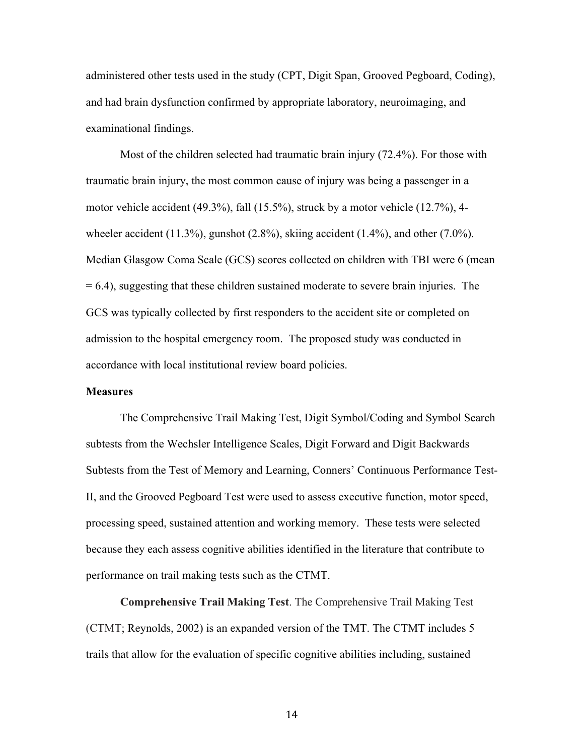administered other tests used in the study (CPT, Digit Span, Grooved Pegboard, Coding), and had brain dysfunction confirmed by appropriate laboratory, neuroimaging, and examinational findings.

Most of the children selected had traumatic brain injury (72.4%). For those with traumatic brain injury, the most common cause of injury was being a passenger in a motor vehicle accident (49.3%), fall (15.5%), struck by a motor vehicle (12.7%), 4 wheeler accident  $(11.3\%)$ , gunshot  $(2.8\%)$ , skiing accident  $(1.4\%)$ , and other  $(7.0\%)$ . Median Glasgow Coma Scale (GCS) scores collected on children with TBI were 6 (mean  $= 6.4$ ), suggesting that these children sustained moderate to severe brain injuries. The GCS was typically collected by first responders to the accident site or completed on admission to the hospital emergency room. The proposed study was conducted in accordance with local institutional review board policies.

#### **Measures**

The Comprehensive Trail Making Test, Digit Symbol/Coding and Symbol Search subtests from the Wechsler Intelligence Scales, Digit Forward and Digit Backwards Subtests from the Test of Memory and Learning, Conners' Continuous Performance Test-II, and the Grooved Pegboard Test were used to assess executive function, motor speed, processing speed, sustained attention and working memory. These tests were selected because they each assess cognitive abilities identified in the literature that contribute to performance on trail making tests such as the CTMT.

**Comprehensive Trail Making Test**. The Comprehensive Trail Making Test (CTMT; Reynolds, 2002) is an expanded version of the TMT. The CTMT includes 5 trails that allow for the evaluation of specific cognitive abilities including, sustained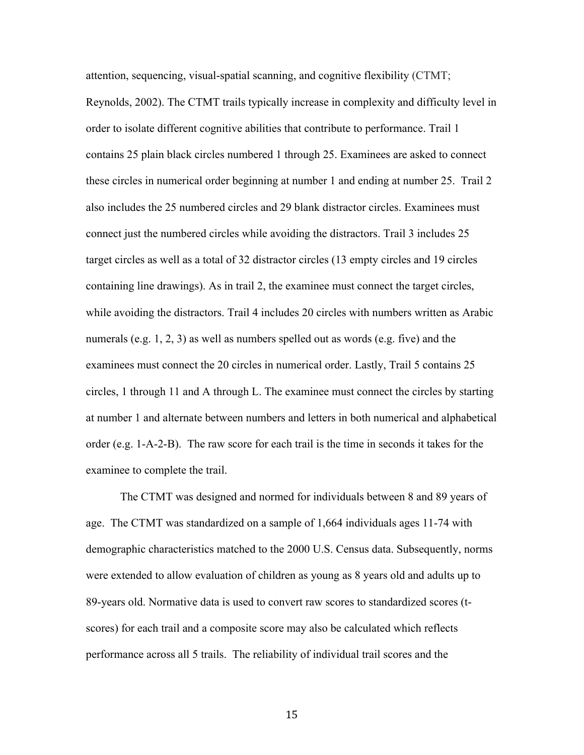attention, sequencing, visual-spatial scanning, and cognitive flexibility (CTMT; Reynolds, 2002). The CTMT trails typically increase in complexity and difficulty level in order to isolate different cognitive abilities that contribute to performance. Trail 1 contains 25 plain black circles numbered 1 through 25. Examinees are asked to connect these circles in numerical order beginning at number 1 and ending at number 25. Trail 2 also includes the 25 numbered circles and 29 blank distractor circles. Examinees must connect just the numbered circles while avoiding the distractors. Trail 3 includes 25 target circles as well as a total of 32 distractor circles (13 empty circles and 19 circles containing line drawings). As in trail 2, the examinee must connect the target circles, while avoiding the distractors. Trail 4 includes 20 circles with numbers written as Arabic numerals (e.g. 1, 2, 3) as well as numbers spelled out as words (e.g. five) and the examinees must connect the 20 circles in numerical order. Lastly, Trail 5 contains 25 circles, 1 through 11 and A through L. The examinee must connect the circles by starting at number 1 and alternate between numbers and letters in both numerical and alphabetical order (e.g. 1-A-2-B). The raw score for each trail is the time in seconds it takes for the examinee to complete the trail.

The CTMT was designed and normed for individuals between 8 and 89 years of age. The CTMT was standardized on a sample of 1,664 individuals ages 11-74 with demographic characteristics matched to the 2000 U.S. Census data. Subsequently, norms were extended to allow evaluation of children as young as 8 years old and adults up to 89-years old. Normative data is used to convert raw scores to standardized scores (tscores) for each trail and a composite score may also be calculated which reflects performance across all 5 trails. The reliability of individual trail scores and the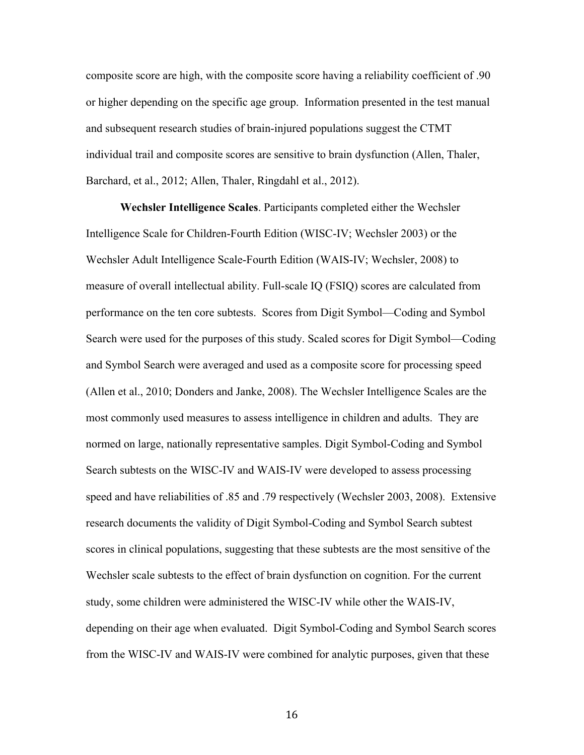composite score are high, with the composite score having a reliability coefficient of .90 or higher depending on the specific age group. Information presented in the test manual and subsequent research studies of brain-injured populations suggest the CTMT individual trail and composite scores are sensitive to brain dysfunction (Allen, Thaler, Barchard, et al., 2012; Allen, Thaler, Ringdahl et al., 2012).

**Wechsler Intelligence Scales**. Participants completed either the Wechsler Intelligence Scale for Children-Fourth Edition (WISC-IV; Wechsler 2003) or the Wechsler Adult Intelligence Scale-Fourth Edition (WAIS-IV; Wechsler, 2008) to measure of overall intellectual ability. Full-scale IQ (FSIQ) scores are calculated from performance on the ten core subtests. Scores from Digit Symbol—Coding and Symbol Search were used for the purposes of this study. Scaled scores for Digit Symbol—Coding and Symbol Search were averaged and used as a composite score for processing speed (Allen et al., 2010; Donders and Janke, 2008). The Wechsler Intelligence Scales are the most commonly used measures to assess intelligence in children and adults. They are normed on large, nationally representative samples. Digit Symbol-Coding and Symbol Search subtests on the WISC-IV and WAIS-IV were developed to assess processing speed and have reliabilities of .85 and .79 respectively (Wechsler 2003, 2008). Extensive research documents the validity of Digit Symbol-Coding and Symbol Search subtest scores in clinical populations, suggesting that these subtests are the most sensitive of the Wechsler scale subtests to the effect of brain dysfunction on cognition. For the current study, some children were administered the WISC-IV while other the WAIS-IV, depending on their age when evaluated. Digit Symbol-Coding and Symbol Search scores from the WISC-IV and WAIS-IV were combined for analytic purposes, given that these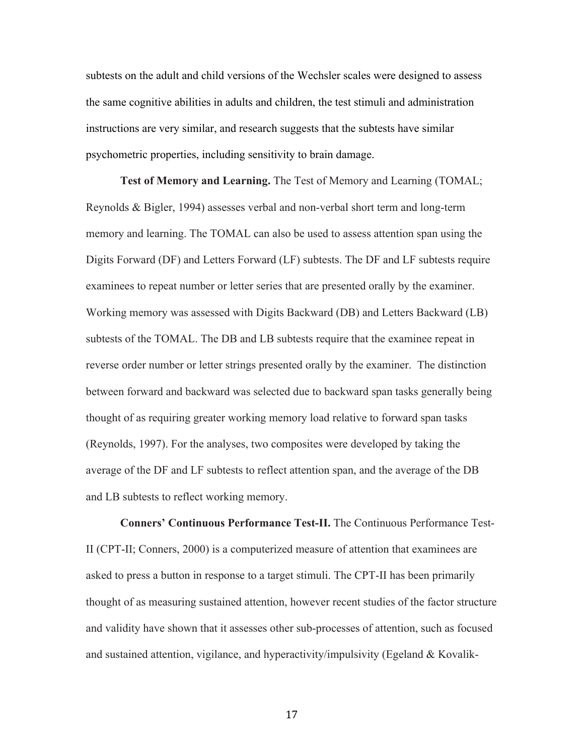subtests on the adult and child versions of the Wechsler scales were designed to assess the same cognitive abilities in adults and children, the test stimuli and administration instructions are very similar, and research suggests that the subtests have similar psychometric properties, including sensitivity to brain damage.

**Test of Memory and Learning.** The Test of Memory and Learning (TOMAL; Reynolds & Bigler, 1994) assesses verbal and non-verbal short term and long-term memory and learning. The TOMAL can also be used to assess attention span using the Digits Forward (DF) and Letters Forward (LF) subtests. The DF and LF subtests require examinees to repeat number or letter series that are presented orally by the examiner. Working memory was assessed with Digits Backward (DB) and Letters Backward (LB) subtests of the TOMAL. The DB and LB subtests require that the examinee repeat in reverse order number or letter strings presented orally by the examiner. The distinction between forward and backward was selected due to backward span tasks generally being thought of as requiring greater working memory load relative to forward span tasks (Reynolds, 1997). For the analyses, two composites were developed by taking the average of the DF and LF subtests to reflect attention span, and the average of the DB and LB subtests to reflect working memory.

**Conners' Continuous Performance Test-II.** The Continuous Performance Test-II (CPT-II; Conners, 2000) is a computerized measure of attention that examinees are asked to press a button in response to a target stimuli. The CPT-II has been primarily thought of as measuring sustained attention, however recent studies of the factor structure and validity have shown that it assesses other sub-processes of attention, such as focused and sustained attention, vigilance, and hyperactivity/impulsivity (Egeland  $& Kovalik-$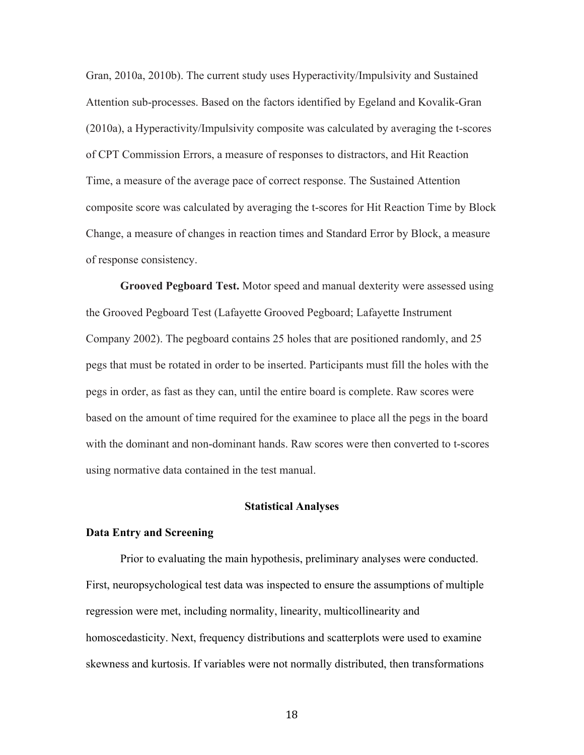Gran, 2010a, 2010b). The current study uses Hyperactivity/Impulsivity and Sustained Attention sub-processes. Based on the factors identified by Egeland and Kovalik-Gran (2010a), a Hyperactivity/Impulsivity composite was calculated by averaging the t-scores of CPT Commission Errors, a measure of responses to distractors, and Hit Reaction Time, a measure of the average pace of correct response. The Sustained Attention composite score was calculated by averaging the t-scores for Hit Reaction Time by Block Change, a measure of changes in reaction times and Standard Error by Block, a measure of response consistency.

**Grooved Pegboard Test.** Motor speed and manual dexterity were assessed using the Grooved Pegboard Test (Lafayette Grooved Pegboard; Lafayette Instrument Company 2002). The pegboard contains 25 holes that are positioned randomly, and 25 pegs that must be rotated in order to be inserted. Participants must fill the holes with the pegs in order, as fast as they can, until the entire board is complete. Raw scores were based on the amount of time required for the examinee to place all the pegs in the board with the dominant and non-dominant hands. Raw scores were then converted to t-scores using normative data contained in the test manual.

#### **Statistical Analyses**

#### **Data Entry and Screening**

Prior to evaluating the main hypothesis, preliminary analyses were conducted. First, neuropsychological test data was inspected to ensure the assumptions of multiple regression were met, including normality, linearity, multicollinearity and homoscedasticity. Next, frequency distributions and scatterplots were used to examine skewness and kurtosis. If variables were not normally distributed, then transformations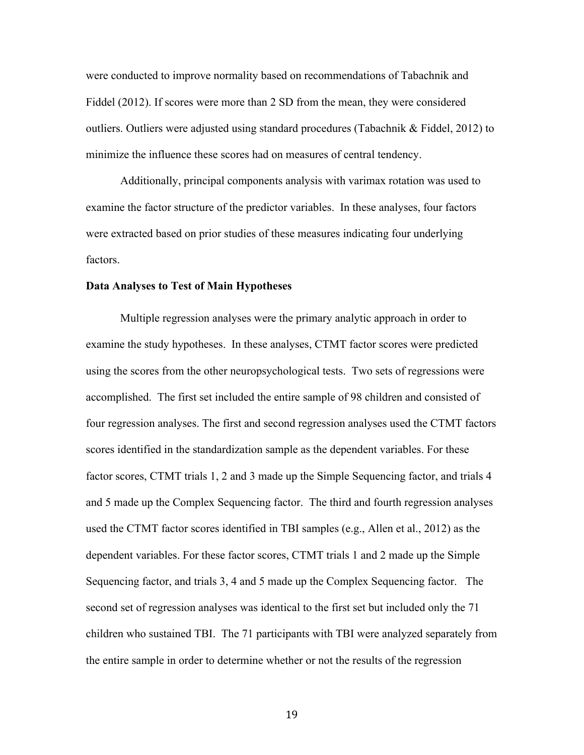were conducted to improve normality based on recommendations of Tabachnik and Fiddel (2012). If scores were more than 2 SD from the mean, they were considered outliers. Outliers were adjusted using standard procedures (Tabachnik & Fiddel, 2012) to minimize the influence these scores had on measures of central tendency.

Additionally, principal components analysis with varimax rotation was used to examine the factor structure of the predictor variables. In these analyses, four factors were extracted based on prior studies of these measures indicating four underlying factors.

#### **Data Analyses to Test of Main Hypotheses**

Multiple regression analyses were the primary analytic approach in order to examine the study hypotheses. In these analyses, CTMT factor scores were predicted using the scores from the other neuropsychological tests. Two sets of regressions were accomplished. The first set included the entire sample of 98 children and consisted of four regression analyses. The first and second regression analyses used the CTMT factors scores identified in the standardization sample as the dependent variables. For these factor scores, CTMT trials 1, 2 and 3 made up the Simple Sequencing factor, and trials 4 and 5 made up the Complex Sequencing factor. The third and fourth regression analyses used the CTMT factor scores identified in TBI samples (e.g., Allen et al., 2012) as the dependent variables. For these factor scores, CTMT trials 1 and 2 made up the Simple Sequencing factor, and trials 3, 4 and 5 made up the Complex Sequencing factor. The second set of regression analyses was identical to the first set but included only the 71 children who sustained TBI. The 71 participants with TBI were analyzed separately from the entire sample in order to determine whether or not the results of the regression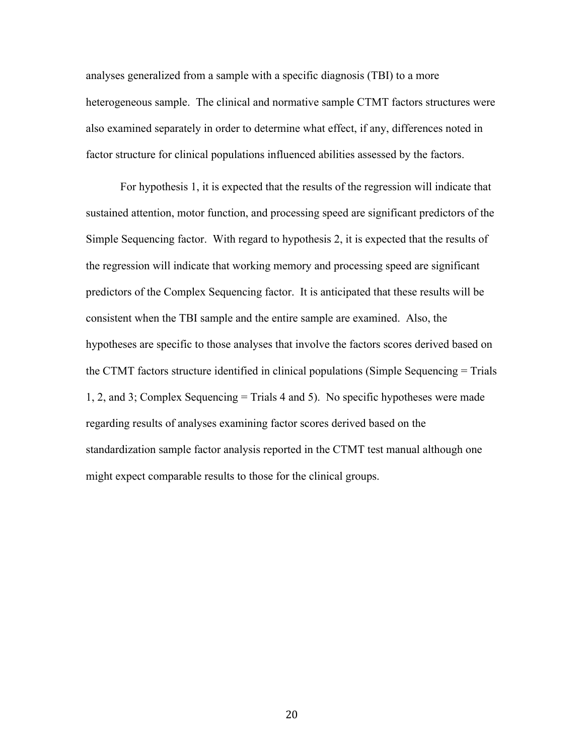analyses generalized from a sample with a specific diagnosis (TBI) to a more heterogeneous sample. The clinical and normative sample CTMT factors structures were also examined separately in order to determine what effect, if any, differences noted in factor structure for clinical populations influenced abilities assessed by the factors.

For hypothesis 1, it is expected that the results of the regression will indicate that sustained attention, motor function, and processing speed are significant predictors of the Simple Sequencing factor. With regard to hypothesis 2, it is expected that the results of the regression will indicate that working memory and processing speed are significant predictors of the Complex Sequencing factor. It is anticipated that these results will be consistent when the TBI sample and the entire sample are examined. Also, the hypotheses are specific to those analyses that involve the factors scores derived based on the CTMT factors structure identified in clinical populations (Simple Sequencing = Trials 1, 2, and 3; Complex Sequencing = Trials 4 and 5). No specific hypotheses were made regarding results of analyses examining factor scores derived based on the standardization sample factor analysis reported in the CTMT test manual although one might expect comparable results to those for the clinical groups.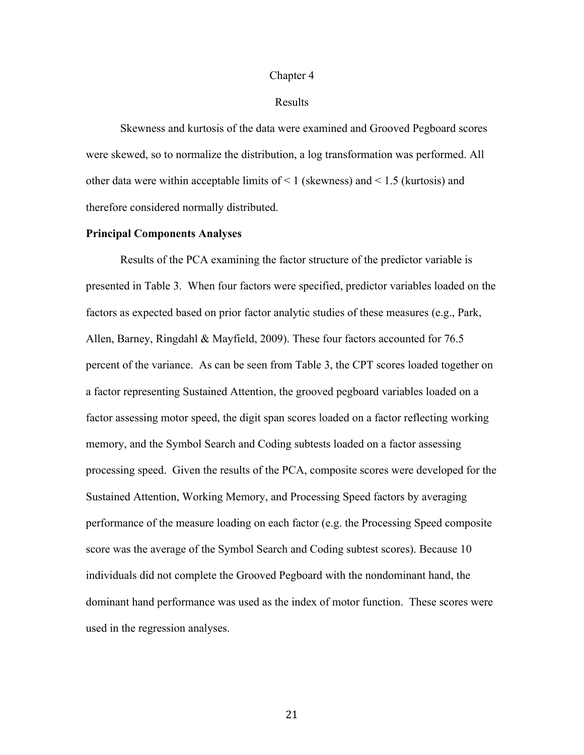#### Chapter 4

#### Results

Skewness and kurtosis of the data were examined and Grooved Pegboard scores were skewed, so to normalize the distribution, a log transformation was performed. All other data were within acceptable limits of < 1 (skewness) and < 1.5 (kurtosis) and therefore considered normally distributed.

#### **Principal Components Analyses**

Results of the PCA examining the factor structure of the predictor variable is presented in Table 3. When four factors were specified, predictor variables loaded on the factors as expected based on prior factor analytic studies of these measures (e.g., Park, Allen, Barney, Ringdahl & Mayfield, 2009). These four factors accounted for 76.5 percent of the variance. As can be seen from Table 3, the CPT scores loaded together on a factor representing Sustained Attention, the grooved pegboard variables loaded on a factor assessing motor speed, the digit span scores loaded on a factor reflecting working memory, and the Symbol Search and Coding subtests loaded on a factor assessing processing speed. Given the results of the PCA, composite scores were developed for the Sustained Attention, Working Memory, and Processing Speed factors by averaging performance of the measure loading on each factor (e.g. the Processing Speed composite score was the average of the Symbol Search and Coding subtest scores). Because 10 individuals did not complete the Grooved Pegboard with the nondominant hand, the dominant hand performance was used as the index of motor function. These scores were used in the regression analyses.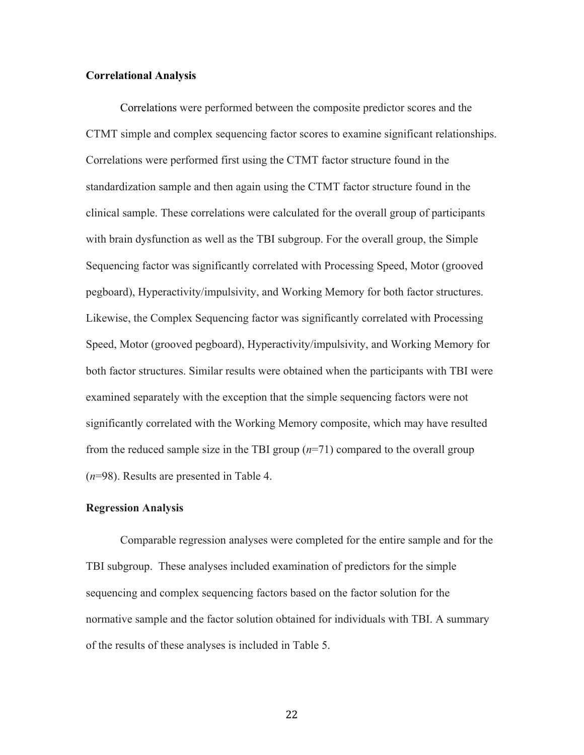#### **Correlational Analysis**

Correlations were performed between the composite predictor scores and the CTMT simple and complex sequencing factor scores to examine significant relationships. Correlations were performed first using the CTMT factor structure found in the standardization sample and then again using the CTMT factor structure found in the clinical sample. These correlations were calculated for the overall group of participants with brain dysfunction as well as the TBI subgroup. For the overall group, the Simple Sequencing factor was significantly correlated with Processing Speed, Motor (grooved pegboard), Hyperactivity/impulsivity, and Working Memory for both factor structures. Likewise, the Complex Sequencing factor was significantly correlated with Processing Speed, Motor (grooved pegboard), Hyperactivity/impulsivity, and Working Memory for both factor structures. Similar results were obtained when the participants with TBI were examined separately with the exception that the simple sequencing factors were not significantly correlated with the Working Memory composite, which may have resulted from the reduced sample size in the TBI group (*n*=71) compared to the overall group (*n*=98). Results are presented in Table 4.

#### **Regression Analysis**

Comparable regression analyses were completed for the entire sample and for the TBI subgroup. These analyses included examination of predictors for the simple sequencing and complex sequencing factors based on the factor solution for the normative sample and the factor solution obtained for individuals with TBI. A summary of the results of these analyses is included in Table 5.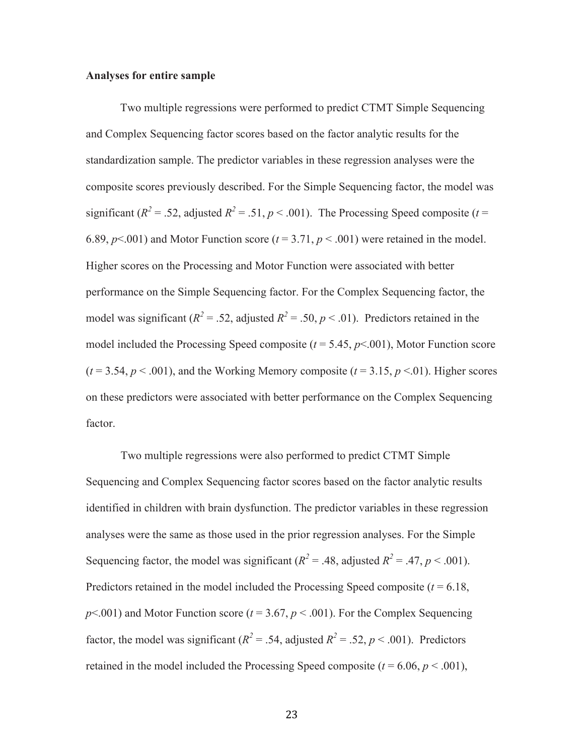#### **Analyses for entire sample**

Two multiple regressions were performed to predict CTMT Simple Sequencing and Complex Sequencing factor scores based on the factor analytic results for the standardization sample. The predictor variables in these regression analyses were the composite scores previously described. For the Simple Sequencing factor, the model was significant ( $R^2$  = .52, adjusted  $R^2$  = .51,  $p$  < .001). The Processing Speed composite ( $t$  = 6.89,  $p \le 0.001$ ) and Motor Function score ( $t = 3.71$ ,  $p \le 0.001$ ) were retained in the model. Higher scores on the Processing and Motor Function were associated with better performance on the Simple Sequencing factor. For the Complex Sequencing factor, the model was significant ( $R^2 = .52$ , adjusted  $R^2 = .50$ ,  $p < .01$ ). Predictors retained in the model included the Processing Speed composite  $(t = 5.45, p < 0.01)$ , Motor Function score  $(t = 3.54, p < .001)$ , and the Working Memory composite  $(t = 3.15, p < .01)$ . Higher scores on these predictors were associated with better performance on the Complex Sequencing factor.

Two multiple regressions were also performed to predict CTMT Simple Sequencing and Complex Sequencing factor scores based on the factor analytic results identified in children with brain dysfunction. The predictor variables in these regression analyses were the same as those used in the prior regression analyses. For the Simple Sequencing factor, the model was significant ( $R^2 = .48$ , adjusted  $R^2 = .47$ ,  $p < .001$ ). Predictors retained in the model included the Processing Speed composite  $(t = 6.18,$  $p$ <.001) and Motor Function score ( $t = 3.67$ ,  $p$  < .001). For the Complex Sequencing factor, the model was significant ( $R^2 = .54$ , adjusted  $R^2 = .52$ ,  $p < .001$ ). Predictors retained in the model included the Processing Speed composite  $(t = 6.06, p < .001)$ ,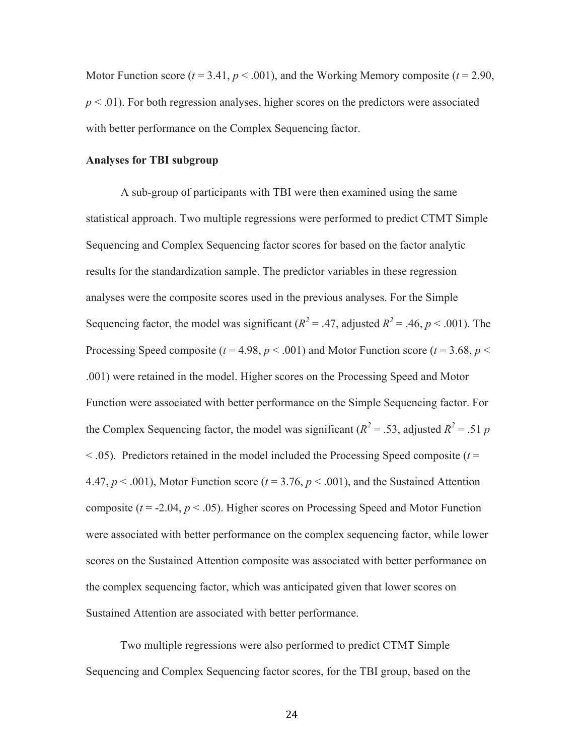Motor Function score  $(t = 3.41, p < .001)$ , and the Working Memory composite  $(t = 2.90,$  $p < .01$ ). For both regression analyses, higher scores on the predictors were associated with better performance on the Complex Sequencing factor.

#### **Analyses for TBI subgroup**

A sub-group of participants with TBI were then examined using the same statistical approach. Two multiple regressions were performed to predict CTMT Simple Sequencing and Complex Sequencing factor scores for based on the factor analytic results for the standardization sample. The predictor variables in these regression analyses were the composite scores used in the previous analyses. For the Simple Sequencing factor, the model was significant ( $R^2 = .47$ , adjusted  $R^2 = .46$ ,  $p < .001$ ). The Processing Speed composite ( $t = 4.98$ ,  $p < .001$ ) and Motor Function score ( $t = 3.68$ ,  $p <$ .001) were retained in the model. Higher scores on the Processing Speed and Motor Function were associated with better performance on the Simple Sequencing factor. For the Complex Sequencing factor, the model was significant ( $R^2 = .53$ , adjusted  $R^2 = .51$  *p*  $<$  0.05). Predictors retained in the model included the Processing Speed composite ( $t =$ 4.47,  $p < .001$ ), Motor Function score ( $t = 3.76$ ,  $p < .001$ ), and the Sustained Attention composite  $(t = -2.04, p < .05)$ . Higher scores on Processing Speed and Motor Function were associated with better performance on the complex sequencing factor, while lower scores on the Sustained Attention composite was associated with better performance on the complex sequencing factor, which was anticipated given that lower scores on Sustained Attention are associated with better performance.

Two multiple regressions were also performed to predict CTMT Simple Sequencing and Complex Sequencing factor scores, for the TBI group, based on the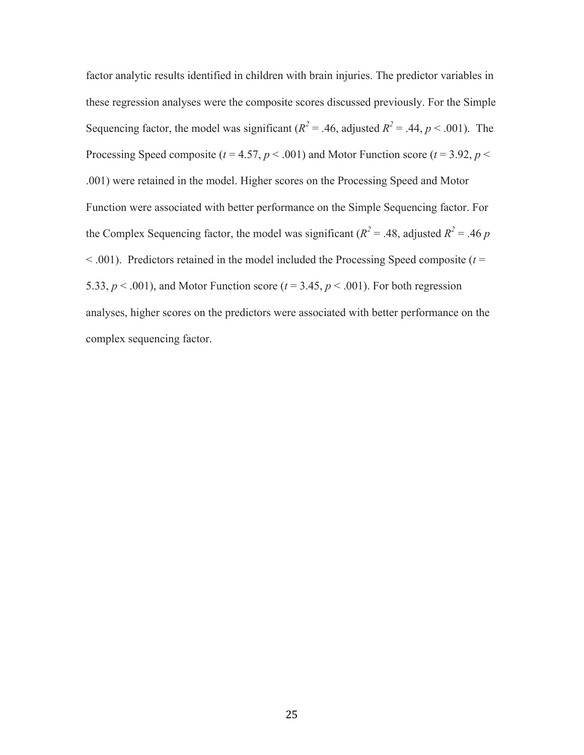factor analytic results identified in children with brain injuries. The predictor variables in these regression analyses were the composite scores discussed previously. For the Simple Sequencing factor, the model was significant ( $R^2 = .46$ , adjusted  $R^2 = .44$ ,  $p < .001$ ). The Processing Speed composite ( $t = 4.57$ ,  $p < .001$ ) and Motor Function score ( $t = 3.92$ ,  $p <$ .001) were retained in the model. Higher scores on the Processing Speed and Motor Function were associated with better performance on the Simple Sequencing factor. For the Complex Sequencing factor, the model was significant ( $R^2 = .48$ , adjusted  $R^2 = .46$  *p*  $< .001$ ). Predictors retained in the model included the Processing Speed composite ( $t =$ 5.33,  $p < .001$ ), and Motor Function score ( $t = 3.45$ ,  $p < .001$ ). For both regression analyses, higher scores on the predictors were associated with better performance on the complex sequencing factor.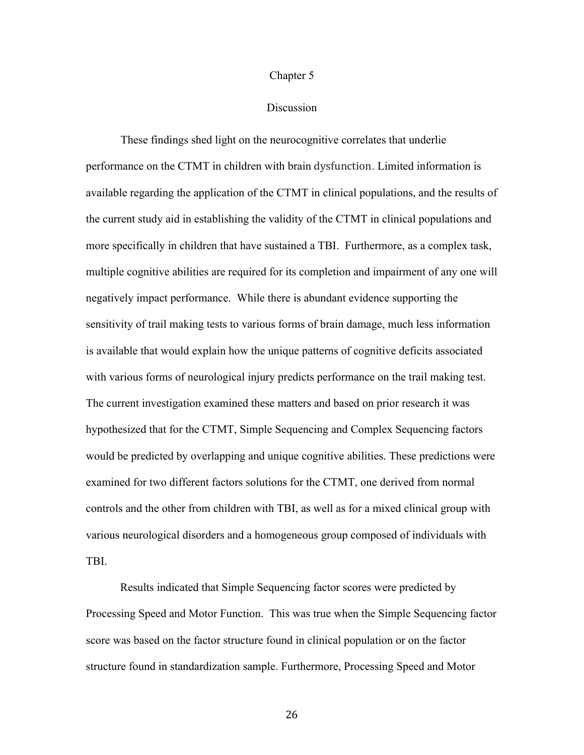#### Chapter 5

#### **Discussion**

These findings shed light on the neurocognitive correlates that underlie performance on the CTMT in children with brain dysfunction. Limited information is available regarding the application of the CTMT in clinical populations, and the results of the current study aid in establishing the validity of the CTMT in clinical populations and more specifically in children that have sustained a TBI. Furthermore, as a complex task, multiple cognitive abilities are required for its completion and impairment of any one will negatively impact performance. While there is abundant evidence supporting the sensitivity of trail making tests to various forms of brain damage, much less information is available that would explain how the unique patterns of cognitive deficits associated with various forms of neurological injury predicts performance on the trail making test. The current investigation examined these matters and based on prior research it was hypothesized that for the CTMT, Simple Sequencing and Complex Sequencing factors would be predicted by overlapping and unique cognitive abilities. These predictions were examined for two different factors solutions for the CTMT, one derived from normal controls and the other from children with TBI, as well as for a mixed clinical group with various neurological disorders and a homogeneous group composed of individuals with TBI.

Results indicated that Simple Sequencing factor scores were predicted by Processing Speed and Motor Function. This was true when the Simple Sequencing factor score was based on the factor structure found in clinical population or on the factor structure found in standardization sample. Furthermore, Processing Speed and Motor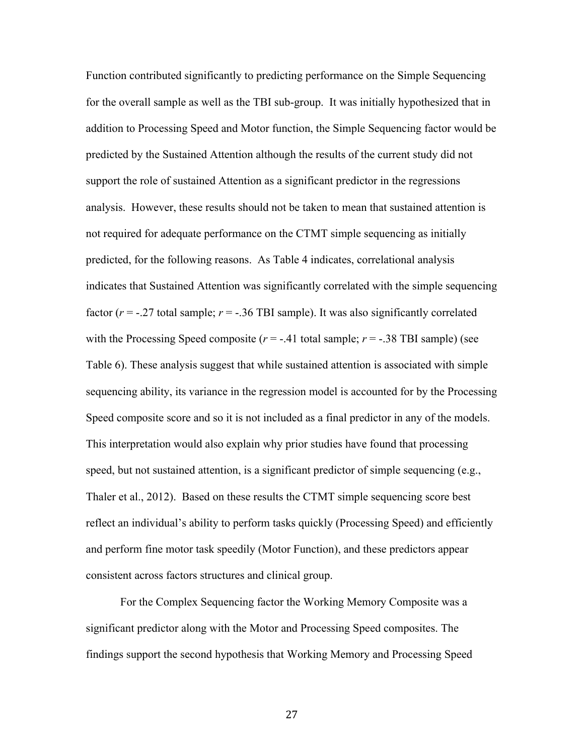Function contributed significantly to predicting performance on the Simple Sequencing for the overall sample as well as the TBI sub-group. It was initially hypothesized that in addition to Processing Speed and Motor function, the Simple Sequencing factor would be predicted by the Sustained Attention although the results of the current study did not support the role of sustained Attention as a significant predictor in the regressions analysis. However, these results should not be taken to mean that sustained attention is not required for adequate performance on the CTMT simple sequencing as initially predicted, for the following reasons. As Table 4 indicates, correlational analysis indicates that Sustained Attention was significantly correlated with the simple sequencing factor  $(r = -.27)$  total sample;  $r = -.36$  TBI sample). It was also significantly correlated with the Processing Speed composite  $(r = -0.41)$  total sample;  $r = -0.38$  TBI sample) (see Table 6). These analysis suggest that while sustained attention is associated with simple sequencing ability, its variance in the regression model is accounted for by the Processing Speed composite score and so it is not included as a final predictor in any of the models. This interpretation would also explain why prior studies have found that processing speed, but not sustained attention, is a significant predictor of simple sequencing (e.g., Thaler et al., 2012). Based on these results the CTMT simple sequencing score best reflect an individual's ability to perform tasks quickly (Processing Speed) and efficiently and perform fine motor task speedily (Motor Function), and these predictors appear consistent across factors structures and clinical group.

For the Complex Sequencing factor the Working Memory Composite was a significant predictor along with the Motor and Processing Speed composites. The findings support the second hypothesis that Working Memory and Processing Speed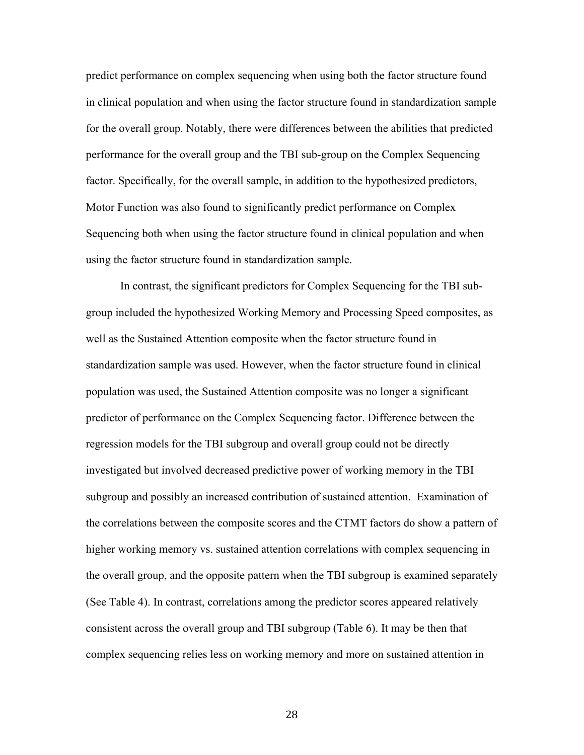predict performance on complex sequencing when using both the factor structure found in clinical population and when using the factor structure found in standardization sample for the overall group. Notably, there were differences between the abilities that predicted performance for the overall group and the TBI sub-group on the Complex Sequencing factor. Specifically, for the overall sample, in addition to the hypothesized predictors, Motor Function was also found to significantly predict performance on Complex Sequencing both when using the factor structure found in clinical population and when using the factor structure found in standardization sample.

In contrast, the significant predictors for Complex Sequencing for the TBI subgroup included the hypothesized Working Memory and Processing Speed composites, as well as the Sustained Attention composite when the factor structure found in standardization sample was used. However, when the factor structure found in clinical population was used, the Sustained Attention composite was no longer a significant predictor of performance on the Complex Sequencing factor. Difference between the regression models for the TBI subgroup and overall group could not be directly investigated but involved decreased predictive power of working memory in the TBI subgroup and possibly an increased contribution of sustained attention. Examination of the correlations between the composite scores and the CTMT factors do show a pattern of higher working memory vs. sustained attention correlations with complex sequencing in the overall group, and the opposite pattern when the TBI subgroup is examined separately (See Table 4). In contrast, correlations among the predictor scores appeared relatively consistent across the overall group and TBI subgroup (Table 6). It may be then that complex sequencing relies less on working memory and more on sustained attention in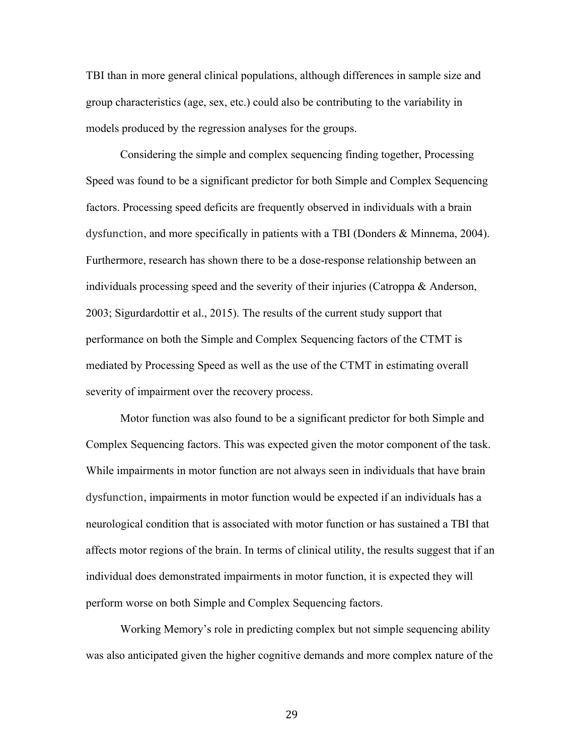TBI than in more general clinical populations, although differences in sample size and group characteristics (age, sex, etc.) could also be contributing to the variability in models produced by the regression analyses for the groups.

Considering the simple and complex sequencing finding together, Processing Speed was found to be a significant predictor for both Simple and Complex Sequencing factors. Processing speed deficits are frequently observed in individuals with a brain dysfunction, and more specifically in patients with a TBI (Donders & Minnema, 2004). Furthermore, research has shown there to be a dose-response relationship between an individuals processing speed and the severity of their injuries (Catroppa & Anderson, 2003; Sigurdardottir et al., 2015). The results of the current study support that performance on both the Simple and Complex Sequencing factors of the CTMT is mediated by Processing Speed as well as the use of the CTMT in estimating overall severity of impairment over the recovery process.

Motor function was also found to be a significant predictor for both Simple and Complex Sequencing factors. This was expected given the motor component of the task. While impairments in motor function are not always seen in individuals that have brain dysfunction, impairments in motor function would be expected if an individuals has a neurological condition that is associated with motor function or has sustained a TBI that affects motor regions of the brain. In terms of clinical utility, the results suggest that if an individual does demonstrated impairments in motor function, it is expected they will perform worse on both Simple and Complex Sequencing factors.

Working Memory's role in predicting complex but not simple sequencing ability was also anticipated given the higher cognitive demands and more complex nature of the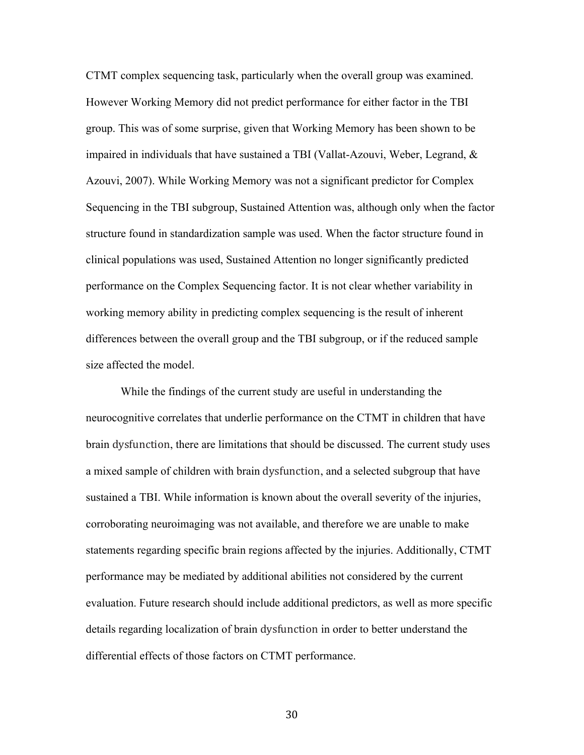CTMT complex sequencing task, particularly when the overall group was examined. However Working Memory did not predict performance for either factor in the TBI group. This was of some surprise, given that Working Memory has been shown to be impaired in individuals that have sustained a TBI (Vallat-Azouvi, Weber, Legrand, & Azouvi, 2007). While Working Memory was not a significant predictor for Complex Sequencing in the TBI subgroup, Sustained Attention was, although only when the factor structure found in standardization sample was used. When the factor structure found in clinical populations was used, Sustained Attention no longer significantly predicted performance on the Complex Sequencing factor. It is not clear whether variability in working memory ability in predicting complex sequencing is the result of inherent differences between the overall group and the TBI subgroup, or if the reduced sample size affected the model.

While the findings of the current study are useful in understanding the neurocognitive correlates that underlie performance on the CTMT in children that have brain dysfunction, there are limitations that should be discussed. The current study uses a mixed sample of children with brain dysfunction, and a selected subgroup that have sustained a TBI. While information is known about the overall severity of the injuries, corroborating neuroimaging was not available, and therefore we are unable to make statements regarding specific brain regions affected by the injuries. Additionally, CTMT performance may be mediated by additional abilities not considered by the current evaluation. Future research should include additional predictors, as well as more specific details regarding localization of brain dysfunction in order to better understand the differential effects of those factors on CTMT performance.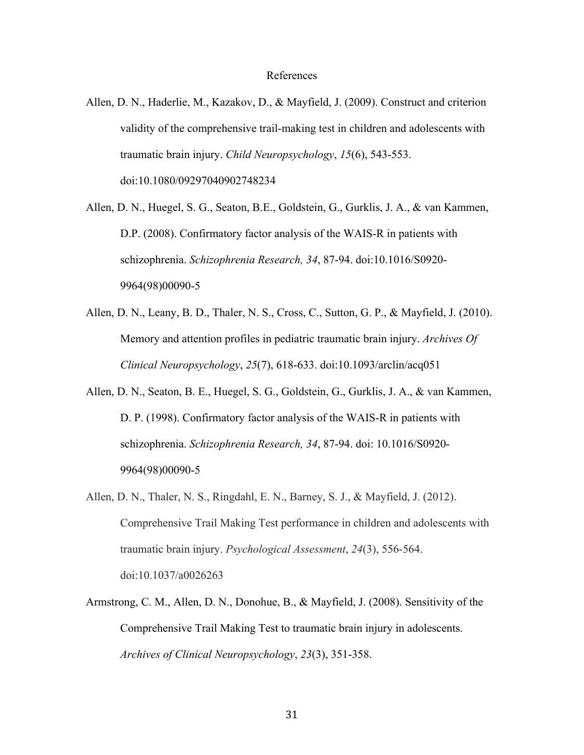#### References

- Allen, D. N., Haderlie, M., Kazakov, D., & Mayfield, J. (2009). Construct and criterion validity of the comprehensive trail-making test in children and adolescents with traumatic brain injury. *Child Neuropsychology*, *15*(6), 543-553. doi:10.1080/09297040902748234
- Allen, D. N., Huegel, S. G., Seaton, B.E., Goldstein, G., Gurklis, J. A., & van Kammen, D.P. (2008). Confirmatory factor analysis of the WAIS-R in patients with schizophrenia. *Schizophrenia Research, 34*, 87-94. doi:10.1016/S0920- 9964(98)00090-5
- Allen, D. N., Leany, B. D., Thaler, N. S., Cross, C., Sutton, G. P., & Mayfield, J. (2010). Memory and attention profiles in pediatric traumatic brain injury. *Archives Of Clinical Neuropsychology*, *25*(7), 618-633. doi:10.1093/arclin/acq051
- Allen, D. N., Seaton, B. E., Huegel, S. G., Goldstein, G., Gurklis, J. A., & van Kammen, D. P. (1998). Confirmatory factor analysis of the WAIS-R in patients with schizophrenia. *Schizophrenia Research, 34*, 87-94. doi: 10.1016/S0920- 9964(98)00090-5
- Allen, D. N., Thaler, N. S., Ringdahl, E. N., Barney, S. J., & Mayfield, J. (2012). Comprehensive Trail Making Test performance in children and adolescents with traumatic brain injury. *Psychological Assessment*, *24*(3), 556-564. doi:10.1037/a0026263
- Armstrong, C. M., Allen, D. N., Donohue, B., & Mayfield, J. (2008). Sensitivity of the Comprehensive Trail Making Test to traumatic brain injury in adolescents. *Archives of Clinical Neuropsychology*, *23*(3), 351-358.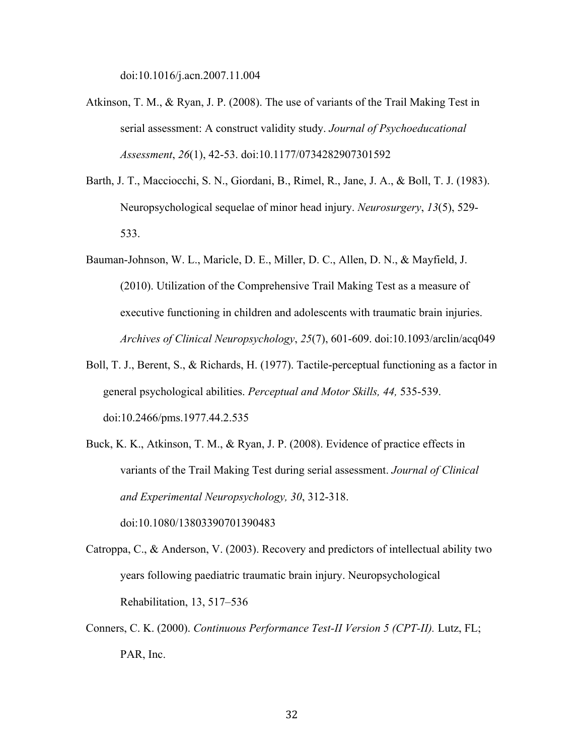doi:10.1016/j.acn.2007.11.004

- Atkinson, T. M., & Ryan, J. P. (2008). The use of variants of the Trail Making Test in serial assessment: A construct validity study. *Journal of Psychoeducational Assessment*, *26*(1), 42-53. doi:10.1177/0734282907301592
- Barth, J. T., Macciocchi, S. N., Giordani, B., Rimel, R., Jane, J. A., & Boll, T. J. (1983). Neuropsychological sequelae of minor head injury. *Neurosurgery*, *13*(5), 529- 533.
- Bauman-Johnson, W. L., Maricle, D. E., Miller, D. C., Allen, D. N., & Mayfield, J. (2010). Utilization of the Comprehensive Trail Making Test as a measure of executive functioning in children and adolescents with traumatic brain injuries. *Archives of Clinical Neuropsychology*, *25*(7), 601-609. doi:10.1093/arclin/acq049
- Boll, T. J., Berent, S., & Richards, H. (1977). Tactile-perceptual functioning as a factor in general psychological abilities. *Perceptual and Motor Skills, 44,* 535-539. doi:10.2466/pms.1977.44.2.535
- Buck, K. K., Atkinson, T. M., & Ryan, J. P. (2008). Evidence of practice effects in variants of the Trail Making Test during serial assessment. *Journal of Clinical and Experimental Neuropsychology, 30*, 312-318.

doi:10.1080/13803390701390483

- Catroppa, C., & Anderson, V. (2003). Recovery and predictors of intellectual ability two years following paediatric traumatic brain injury. Neuropsychological Rehabilitation, 13, 517–536
- Conners, C. K. (2000). *Continuous Performance Test-II Version 5 (CPT-II).* Lutz, FL; PAR, Inc.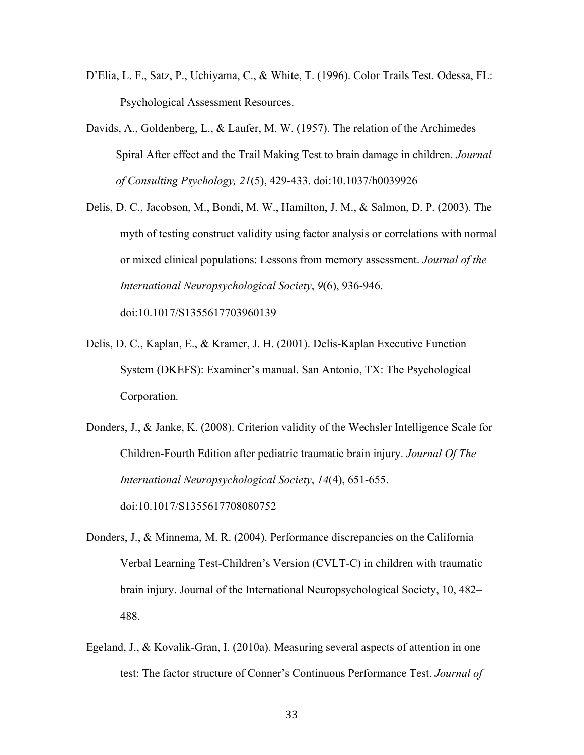- D'Elia, L. F., Satz, P., Uchiyama, C., & White, T. (1996). Color Trails Test. Odessa, FL: Psychological Assessment Resources.
- Davids, A., Goldenberg, L., & Laufer, M. W. (1957). The relation of the Archimedes Spiral After effect and the Trail Making Test to brain damage in children. *Journal of Consulting Psychology, 21*(5), 429-433. doi:10.1037/h0039926
- Delis, D. C., Jacobson, M., Bondi, M. W., Hamilton, J. M., & Salmon, D. P. (2003). The myth of testing construct validity using factor analysis or correlations with normal or mixed clinical populations: Lessons from memory assessment. *Journal of the International Neuropsychological Society*, *9*(6), 936-946. doi:10.1017/S1355617703960139
- Delis, D. C., Kaplan, E., & Kramer, J. H. (2001). Delis-Kaplan Executive Function System (DKEFS): Examiner's manual. San Antonio, TX: The Psychological Corporation.
- Donders, J., & Janke, K. (2008). Criterion validity of the Wechsler Intelligence Scale for Children-Fourth Edition after pediatric traumatic brain injury. *Journal Of The International Neuropsychological Society*, *14*(4), 651-655. doi:10.1017/S1355617708080752
- Donders, J., & Minnema, M. R. (2004). Performance discrepancies on the California Verbal Learning Test-Children's Version (CVLT-C) in children with traumatic brain injury. Journal of the International Neuropsychological Society, 10, 482– 488.
- Egeland, J., & Kovalik-Gran, I. (2010a). Measuring several aspects of attention in one test: The factor structure of Conner's Continuous Performance Test. *Journal of*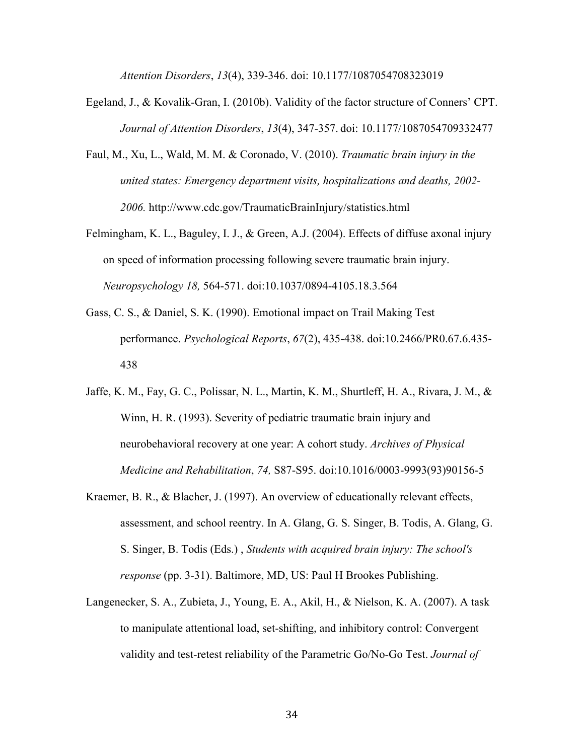*Attention Disorders*, *13*(4), 339-346. doi: 10.1177/1087054708323019

- Egeland, J., & Kovalik-Gran, I. (2010b). Validity of the factor structure of Conners' CPT. *Journal of Attention Disorders*, *13*(4), 347-357. doi: 10.1177/1087054709332477
- Faul, M., Xu, L., Wald, M. M. & Coronado, V. (2010). *Traumatic brain injury in the united states: Emergency department visits, hospitalizations and deaths, 2002- 2006.* http://www.cdc.gov/TraumaticBrainInjury/statistics.html
- Felmingham, K. L., Baguley, I. J., & Green, A.J. (2004). Effects of diffuse axonal injury on speed of information processing following severe traumatic brain injury. *Neuropsychology 18,* 564-571. doi:10.1037/0894-4105.18.3.564
- Gass, C. S., & Daniel, S. K. (1990). Emotional impact on Trail Making Test performance. *Psychological Reports*, *67*(2), 435-438. doi:10.2466/PR0.67.6.435- 438
- Jaffe, K. M., Fay, G. C., Polissar, N. L., Martin, K. M., Shurtleff, H. A., Rivara, J. M., & Winn, H. R. (1993). Severity of pediatric traumatic brain injury and neurobehavioral recovery at one year: A cohort study. *Archives of Physical Medicine and Rehabilitation*, *74,* S87-S95. doi:10.1016/0003-9993(93)90156-5
- Kraemer, B. R., & Blacher, J. (1997). An overview of educationally relevant effects, assessment, and school reentry. In A. Glang, G. S. Singer, B. Todis, A. Glang, G. S. Singer, B. Todis (Eds.) , *Students with acquired brain injury: The school's response* (pp. 3-31). Baltimore, MD, US: Paul H Brookes Publishing.
- Langenecker, S. A., Zubieta, J., Young, E. A., Akil, H., & Nielson, K. A. (2007). A task to manipulate attentional load, set-shifting, and inhibitory control: Convergent validity and test-retest reliability of the Parametric Go/No-Go Test. *Journal of*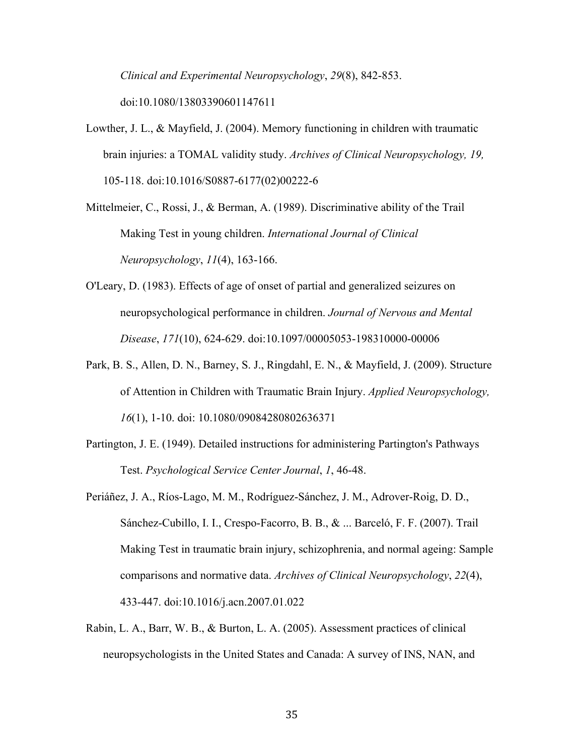*Clinical and Experimental Neuropsychology*, *29*(8), 842-853. doi:10.1080/13803390601147611

- Lowther, J. L., & Mayfield, J. (2004). Memory functioning in children with traumatic brain injuries: a TOMAL validity study. *Archives of Clinical Neuropsychology, 19,* 105-118. doi:10.1016/S0887-6177(02)00222-6
- Mittelmeier, C., Rossi, J., & Berman, A. (1989). Discriminative ability of the Trail Making Test in young children. *International Journal of Clinical Neuropsychology*, *11*(4), 163-166.
- O'Leary, D. (1983). Effects of age of onset of partial and generalized seizures on neuropsychological performance in children. *Journal of Nervous and Mental Disease*, *171*(10), 624-629. doi:10.1097/00005053-198310000-00006
- Park, B. S., Allen, D. N., Barney, S. J., Ringdahl, E. N., & Mayfield, J. (2009). Structure of Attention in Children with Traumatic Brain Injury. *Applied Neuropsychology, 16*(1), 1-10. doi: 10.1080/09084280802636371
- Partington, J. E. (1949). Detailed instructions for administering Partington's Pathways Test. *Psychological Service Center Journal*, *1*, 46-48.
- Periáñez, J. A., Ríos-Lago, M. M., Rodríguez-Sánchez, J. M., Adrover-Roig, D. D., Sánchez-Cubillo, I. I., Crespo-Facorro, B. B., & ... Barceló, F. F. (2007). Trail Making Test in traumatic brain injury, schizophrenia, and normal ageing: Sample comparisons and normative data. *Archives of Clinical Neuropsychology*, *22*(4), 433-447. doi:10.1016/j.acn.2007.01.022
- Rabin, L. A., Barr, W. B., & Burton, L. A. (2005). Assessment practices of clinical neuropsychologists in the United States and Canada: A survey of INS, NAN, and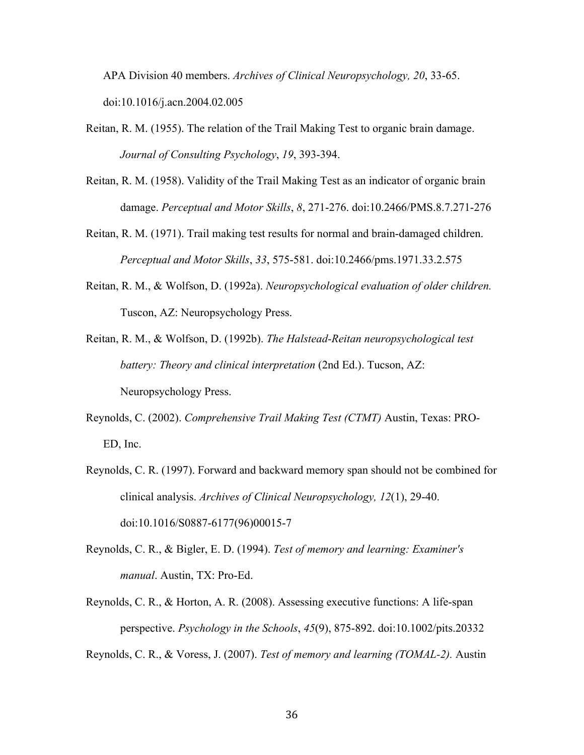APA Division 40 members. *Archives of Clinical Neuropsychology, 20*, 33-65. doi:10.1016/j.acn.2004.02.005

- Reitan, R. M. (1955). The relation of the Trail Making Test to organic brain damage. *Journal of Consulting Psychology*, *19*, 393-394.
- Reitan, R. M. (1958). Validity of the Trail Making Test as an indicator of organic brain damage. *Perceptual and Motor Skills*, *8*, 271-276. doi:10.2466/PMS.8.7.271-276
- Reitan, R. M. (1971). Trail making test results for normal and brain-damaged children. *Perceptual and Motor Skills*, *33*, 575-581. doi:10.2466/pms.1971.33.2.575
- Reitan, R. M., & Wolfson, D. (1992a). *Neuropsychological evaluation of older children.*  Tuscon, AZ: Neuropsychology Press.
- Reitan, R. M., & Wolfson, D. (1992b). *The Halstead-Reitan neuropsychological test battery: Theory and clinical interpretation (2nd Ed.). Tucson, AZ:* Neuropsychology Press.
- Reynolds, C. (2002). *Comprehensive Trail Making Test (CTMT)* Austin, Texas: PRO-ED, Inc.
- Reynolds, C. R. (1997). Forward and backward memory span should not be combined for clinical analysis. *Archives of Clinical Neuropsychology, 12*(1), 29-40. doi:10.1016/S0887-6177(96)00015-7
- Reynolds, C. R., & Bigler, E. D. (1994). *Test of memory and learning: Examiner's manual*. Austin, TX: Pro-Ed.
- Reynolds, C. R., & Horton, A. R. (2008). Assessing executive functions: A life-span perspective. *Psychology in the Schools*, *45*(9), 875-892. doi:10.1002/pits.20332

Reynolds, C. R., & Voress, J. (2007). *Test of memory and learning (TOMAL-2).* Austin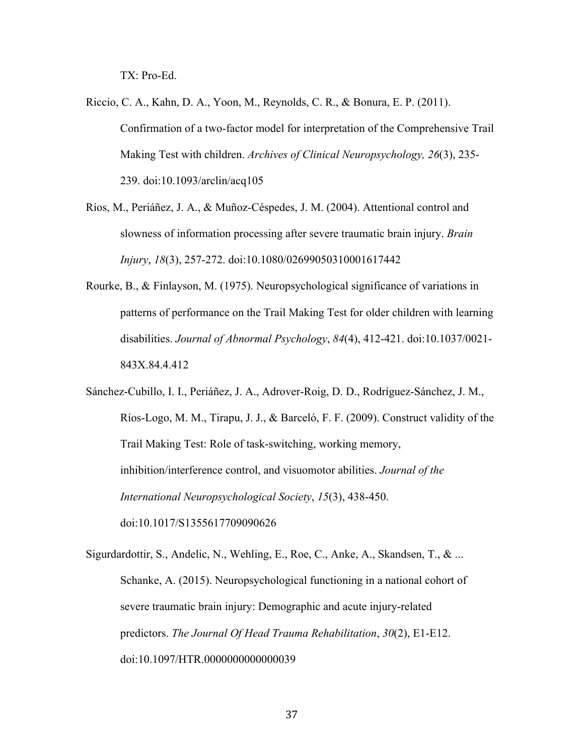TX: Pro-Ed.

Riccio, C. A., Kahn, D. A., Yoon, M., Reynolds, C. R., & Bonura, E. P. (2011). Confirmation of a two-factor model for interpretation of the Comprehensive Trail Making Test with children. *Archives of Clinical Neuropsychology, 26*(3), 235- 239. doi:10.1093/arclin/acq105

Ríos, M., Periáñez, J. A., & Muñoz-Céspedes, J. M. (2004). Attentional control and slowness of information processing after severe traumatic brain injury. *Brain Injury*, *18*(3), 257-272. doi:10.1080/02699050310001617442

Rourke, B., & Finlayson, M. (1975). Neuropsychological significance of variations in patterns of performance on the Trail Making Test for older children with learning disabilities. *Journal of Abnormal Psychology*, *84*(4), 412-421. doi:10.1037/0021- 843X.84.4.412

Sánchez-Cubillo, I. I., Periáñez, J. A., Adrover-Roig, D. D., Rodríguez-Sánchez, J. M., Ríos-Logo, M. M., Tirapu, J. J., & Barceló, F. F. (2009). Construct validity of the Trail Making Test: Role of task-switching, working memory, inhibition/interference control, and visuomotor abilities. *Journal of the International Neuropsychological Society*, *15*(3), 438-450. doi:10.1017/S1355617709090626

Sigurdardottir, S., Andelic, N., Wehling, E., Roe, C., Anke, A., Skandsen, T., & ... Schanke, A. (2015). Neuropsychological functioning in a national cohort of severe traumatic brain injury: Demographic and acute injury-related predictors. *The Journal Of Head Trauma Rehabilitation*, *30*(2), E1-E12. doi:10.1097/HTR.0000000000000039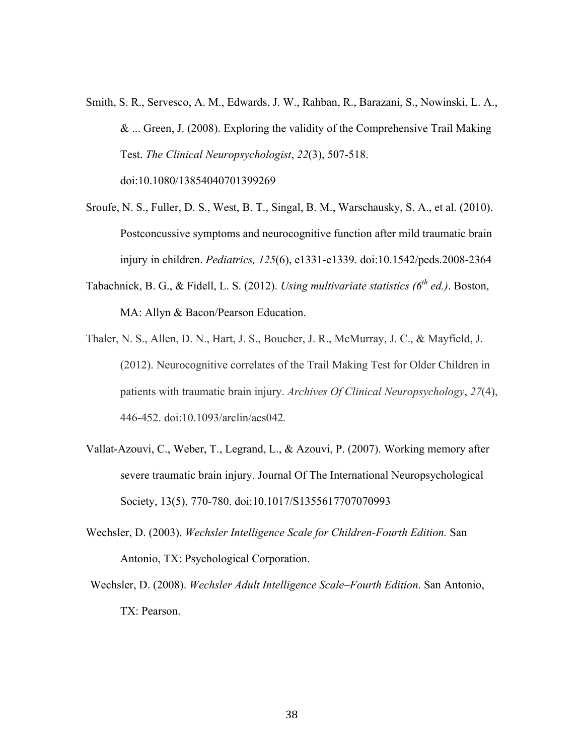- Smith, S. R., Servesco, A. M., Edwards, J. W., Rahban, R., Barazani, S., Nowinski, L. A., & ... Green, J. (2008). Exploring the validity of the Comprehensive Trail Making Test. *The Clinical Neuropsychologist*, *22*(3), 507-518. doi:10.1080/13854040701399269
- Sroufe, N. S., Fuller, D. S., West, B. T., Singal, B. M., Warschausky, S. A., et al. (2010). Postconcussive symptoms and neurocognitive function after mild traumatic brain injury in children. *Pediatrics, 125*(6), e1331-e1339. doi:10.1542/peds.2008-2364
- Tabachnick, B. G., & Fidell, L. S. (2012). *Using multivariate statistics (6th ed.)*. Boston, MA: Allyn & Bacon/Pearson Education.
- Thaler, N. S., Allen, D. N., Hart, J. S., Boucher, J. R., McMurray, J. C., & Mayfield, J. (2012). Neurocognitive correlates of the Trail Making Test for Older Children in patients with traumatic brain injury. *Archives Of Clinical Neuropsychology*, *27*(4), 446-452. doi:10.1093/arclin/acs042*.*
- Vallat-Azouvi, C., Weber, T., Legrand, L., & Azouvi, P. (2007). Working memory after severe traumatic brain injury. Journal Of The International Neuropsychological Society, 13(5), 770-780. doi:10.1017/S1355617707070993
- Wechsler, D. (2003). *Wechsler Intelligence Scale for Children-Fourth Edition.* San Antonio, TX: Psychological Corporation.
- Wechsler, D. (2008). *Wechsler Adult Intelligence Scale–Fourth Edition*. San Antonio, TX: Pearson.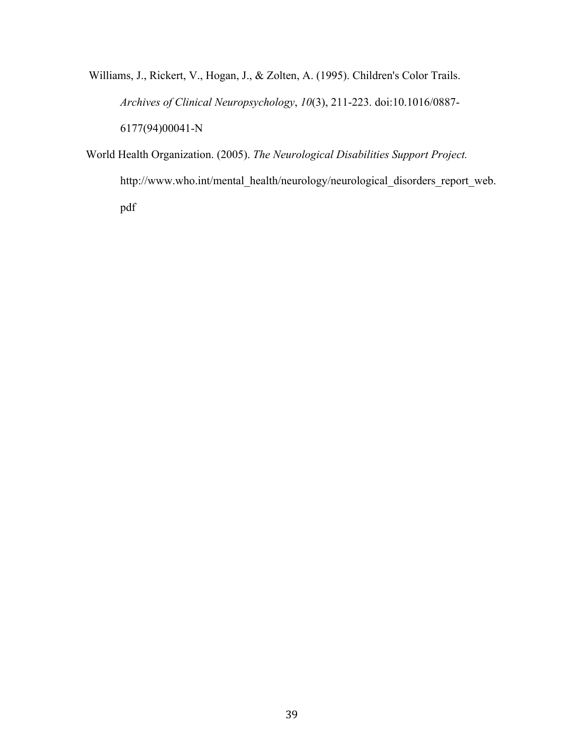Williams, J., Rickert, V., Hogan, J., & Zolten, A. (1995). Children's Color Trails. *Archives of Clinical Neuropsychology*, *10*(3), 211-223. doi:10.1016/0887- 6177(94)00041-N

World Health Organization. (2005). *The Neurological Disabilities Support Project.*  http://www.who.int/mental\_health/neurology/neurological\_disorders\_report\_web. pdf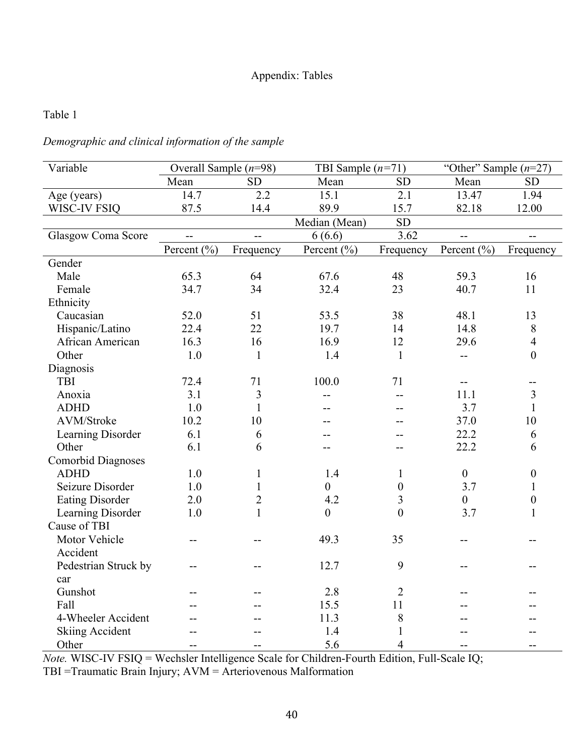# Appendix: Tables

# Table 1

# *Demographic and clinical information of the sample*

| Variable                  | Overall Sample $(n=98)$ |                | TBI Sample $(n=71)$ |                  | "Other" Sample $(n=27)$ |                  |
|---------------------------|-------------------------|----------------|---------------------|------------------|-------------------------|------------------|
|                           | Mean                    | <b>SD</b>      | Mean                | <b>SD</b>        | Mean                    | <b>SD</b>        |
| Age (years)               | 14.7                    | 2.2            | 15.1                | 2.1              | 13.47                   | 1.94             |
| WISC-IV FSIQ              | 87.5                    | 14.4           | 89.9                | 15.7             | 82.18                   | 12.00            |
|                           |                         |                | Median (Mean)       | <b>SD</b>        |                         |                  |
| Glasgow Coma Score        | $\overline{a}$          | $\overline{a}$ | 6(6.6)              | 3.62             | $-$                     | $\overline{a}$   |
|                           | Percent (%)             | Frequency      | Percent (%)         | Frequency        | Percent (%)             | Frequency        |
| Gender                    |                         |                |                     |                  |                         |                  |
| Male                      | 65.3                    | 64             | 67.6                | 48               | 59.3                    | 16               |
| Female                    | 34.7                    | 34             | 32.4                | 23               | 40.7                    | 11               |
| Ethnicity                 |                         |                |                     |                  |                         |                  |
| Caucasian                 | 52.0                    | 51             | 53.5                | 38               | 48.1                    | 13               |
| Hispanic/Latino           | 22.4                    | 22             | 19.7                | 14               | 14.8                    | 8                |
| African American          | 16.3                    | 16             | 16.9                | 12               | 29.6                    | $\overline{4}$   |
| Other                     | 1.0                     | $\mathbf{1}$   | 1.4                 | $\mathbf{1}$     | $-$                     | $\mathbf{0}$     |
| Diagnosis                 |                         |                |                     |                  |                         |                  |
| TBI                       | 72.4                    | 71             | 100.0               | 71               | $-$                     | --               |
| Anoxia                    | 3.1                     | $\overline{3}$ | $-$                 | --               | 11.1                    | $\mathfrak{Z}$   |
| <b>ADHD</b>               | 1.0                     | $\mathbf{1}$   | --                  | $-$              | 3.7                     | $\mathbf{1}$     |
| AVM/Stroke                | 10.2                    | 10             |                     | $-$              | 37.0                    | 10               |
| Learning Disorder         | 6.1                     | 6              | --                  | --               | 22.2                    | 6                |
| Other                     | 6.1                     | 6              | --                  | $-$              | 22.2                    | 6                |
| <b>Comorbid Diagnoses</b> |                         |                |                     |                  |                         |                  |
| <b>ADHD</b>               | 1.0                     | $\mathbf{1}$   | 1.4                 | $\mathbf{1}$     | $\boldsymbol{0}$        | $\boldsymbol{0}$ |
| Seizure Disorder          | 1.0                     | $\mathbf{1}$   | $\boldsymbol{0}$    | $\boldsymbol{0}$ | 3.7                     | $\mathbf{1}$     |
| <b>Eating Disorder</b>    | 2.0                     | $\overline{2}$ | 4.2                 | 3                | $\boldsymbol{0}$        | $\boldsymbol{0}$ |
| Learning Disorder         | 1.0                     | $\mathbf{1}$   | $\boldsymbol{0}$    | $\mathbf{0}$     | 3.7                     | $\mathbf{1}$     |
| Cause of TBI              |                         |                |                     |                  |                         |                  |
| Motor Vehicle             | --                      |                | 49.3                | 35               | --                      |                  |
| Accident                  |                         |                |                     |                  |                         |                  |
| Pedestrian Struck by      | --                      | --             | 12.7                | 9                | --                      | --               |
| car                       |                         |                |                     |                  |                         |                  |
| Gunshot                   | --                      |                | 2.8                 | $\overline{2}$   | --                      |                  |
| Fall                      |                         |                | 15.5                | 11               |                         |                  |
| 4-Wheeler Accident        | --                      |                | 11.3                | $8\,$            |                         |                  |
| <b>Skiing Accident</b>    |                         |                | 1.4                 | $\mathbf{1}$     |                         |                  |
| Other                     | --                      |                | 5.6                 | $\overline{4}$   | --                      | $-$              |

*Note.* WISC-IV FSIQ = Wechsler Intelligence Scale for Children-Fourth Edition, Full-Scale IQ;

TBI =Traumatic Brain Injury; AVM = Arteriovenous Malformation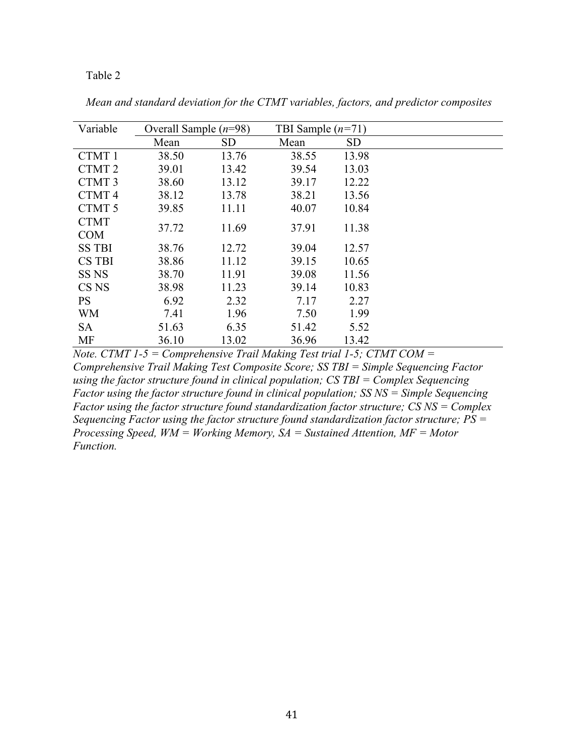| Variable          | Overall Sample $(n=98)$ |           | TBI Sample $(n=71)$ |           |  |
|-------------------|-------------------------|-----------|---------------------|-----------|--|
|                   | Mean                    | <b>SD</b> | Mean                | <b>SD</b> |  |
| CTMT 1            | 38.50                   | 13.76     | 38.55               | 13.98     |  |
| CTMT <sub>2</sub> | 39.01                   | 13.42     | 39.54               | 13.03     |  |
| CTMT <sub>3</sub> | 38.60                   | 13.12     | 39.17               | 12.22     |  |
| CTMT <sub>4</sub> | 38.12                   | 13.78     | 38.21               | 13.56     |  |
| CTMT 5            | 39.85                   | 11.11     | 40.07               | 10.84     |  |
| <b>CTMT</b>       |                         |           |                     |           |  |
| <b>COM</b>        | 37.72                   | 11.69     | 37.91               | 11.38     |  |
| <b>SS TBI</b>     | 38.76                   | 12.72     | 39.04               | 12.57     |  |
| <b>CS TBI</b>     | 38.86                   | 11.12     | 39.15               | 10.65     |  |
| SS <sub>NS</sub>  | 38.70                   | 11.91     | 39.08               | 11.56     |  |
| CS <sub>NS</sub>  | 38.98                   | 11.23     | 39.14               | 10.83     |  |
| <b>PS</b>         | 6.92                    | 2.32      | 7.17                | 2.27      |  |
| <b>WM</b>         | 7.41                    | 1.96      | 7.50                | 1.99      |  |
| <b>SA</b>         | 51.63                   | 6.35      | 51.42               | 5.52      |  |
| <b>MF</b>         | 36.10                   | 13.02     | 36.96               | 13.42     |  |

*Mean and standard deviation for the CTMT variables, factors, and predictor composites*

*Note. CTMT 1-5 = Comprehensive Trail Making Test trial 1-5; CTMT COM = Comprehensive Trail Making Test Composite Score; SS TBI = Simple Sequencing Factor using the factor structure found in clinical population; CS TBI = Complex Sequencing Factor using the factor structure found in clinical population; SS NS = Simple Sequencing Factor using the factor structure found standardization factor structure; CS NS = Complex Sequencing Factor using the factor structure found standardization factor structure; PS = Processing Speed, WM = Working Memory, SA = Sustained Attention, MF = Motor Function.*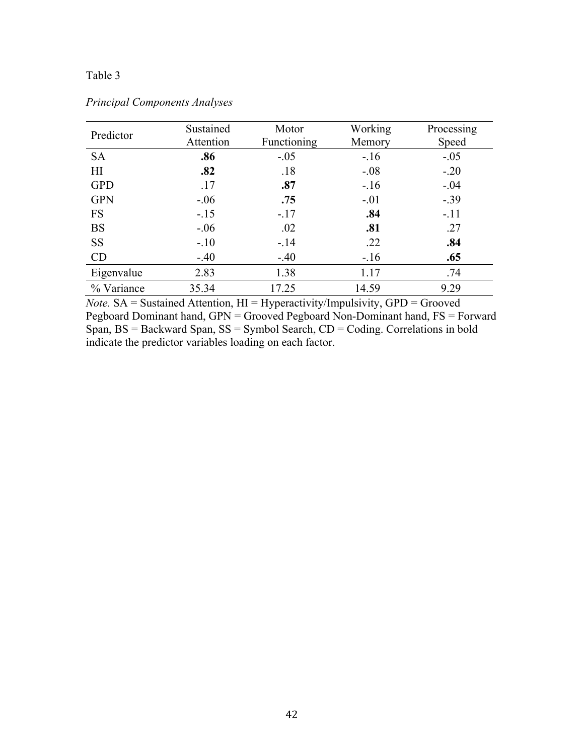| Predictor  | Sustained | Motor       | Working | Process |
|------------|-----------|-------------|---------|---------|
|            | Attention | Functioning | Memory  | Spee    |
| <b>SA</b>  | .86       | $-.05$      | $-.16$  | $-.05$  |
| H1         | .82       | .18         | $-.08$  | $-.20$  |
| <b>GPD</b> | .17       | .87         | $-.16$  | $-.04$  |
| <b>GPN</b> | $-.06$    | .75         | $-.01$  | $-.39$  |
| <b>FS</b>  | $-15$     | $-17$       | .84     | $-.11$  |
| <b>BS</b>  | $-06$     | .02         | .81     | .27     |

## *Principal Components Analyses*

*Note.* SA = Sustained Attention, HI = Hyperactivity/Impulsivity, GPD = Grooved Pegboard Dominant hand,  $GPN =$  Grooved Pegboard Non-Dominant hand,  $FS =$  Forward Span, BS = Backward Span, SS = Symbol Search, CD = Coding. Correlations in bold indicate the predictor variables loading on each factor.

SS -.10 -.14 .22 .**84** CD -.40 -.40 -.16 **.65** Eigenvalue 2.83 1.38 1.17 .74 % Variance 35.34 17.25 14.59 9.29

Processing Speed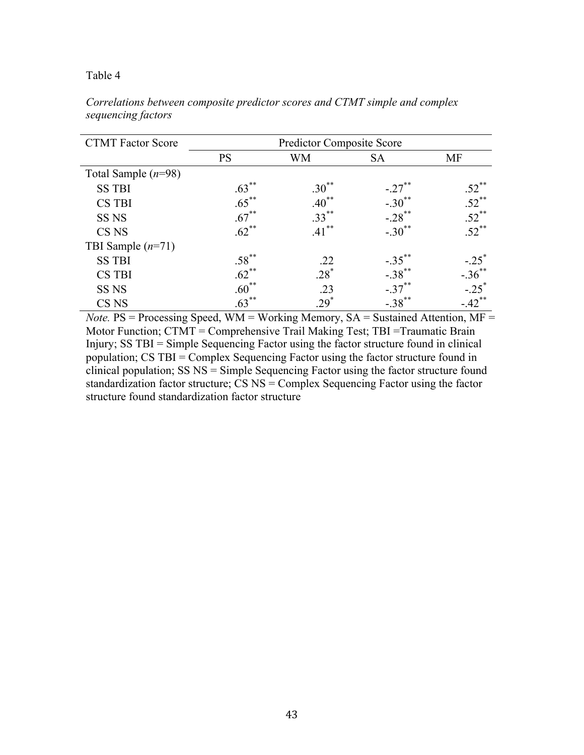| <b>CTMT Factor Score</b> | <b>Predictor Composite Score</b> |            |                      |                     |  |  |  |
|--------------------------|----------------------------------|------------|----------------------|---------------------|--|--|--|
|                          | <b>PS</b>                        | WM         | <b>SA</b>            | <b>MF</b>           |  |  |  |
| Total Sample $(n=98)$    |                                  |            |                      |                     |  |  |  |
| <b>SS TBI</b>            | $.63***$                         | $.30^{**}$ | $-.27$ **            | $.52***$            |  |  |  |
| <b>CS TBI</b>            | $.65***$                         | $40^{**}$  | $-.30$ **            | $.52$ <sup>**</sup> |  |  |  |
| SS <sub>NS</sub>         | $.67***$                         | $.33***$   | $-.28$ **            | $.52$ <sup>**</sup> |  |  |  |
| CS <sub>NS</sub>         | $.62$ <sup>**</sup>              | **<br>.41  | $-.30$ **            | $.52$ <sup>**</sup> |  |  |  |
| TBI Sample $(n=71)$      |                                  |            |                      |                     |  |  |  |
| <b>SS TBI</b>            | $.58***$                         | .22        | $-.35$ <sup>**</sup> | $-.25$              |  |  |  |
| <b>CS TBI</b>            | $.62$ <sup>**</sup>              | $.28*$     | $-.38$ **            | $-.36$ **           |  |  |  |
| SS <sub>NS</sub>         | $.60^{**}$                       | .23        | $-.37$ <sup>**</sup> | $-.25$ <sup>*</sup> |  |  |  |
| CS <sub>NS</sub>         | $.63***$                         | $29^*$     | $-.38$ <sup>**</sup> | $-42$ <sup>**</sup> |  |  |  |

*Correlations between composite predictor scores and CTMT simple and complex sequencing factors*

*Note.* PS = Processing Speed, WM = Working Memory, SA = Sustained Attention, MF = Motor Function; CTMT = Comprehensive Trail Making Test; TBI =Traumatic Brain Injury; SS TBI = Simple Sequencing Factor using the factor structure found in clinical population; CS TBI = Complex Sequencing Factor using the factor structure found in clinical population;  $SS NS =$  Simple Sequencing Factor using the factor structure found standardization factor structure; CS NS = Complex Sequencing Factor using the factor structure found standardization factor structure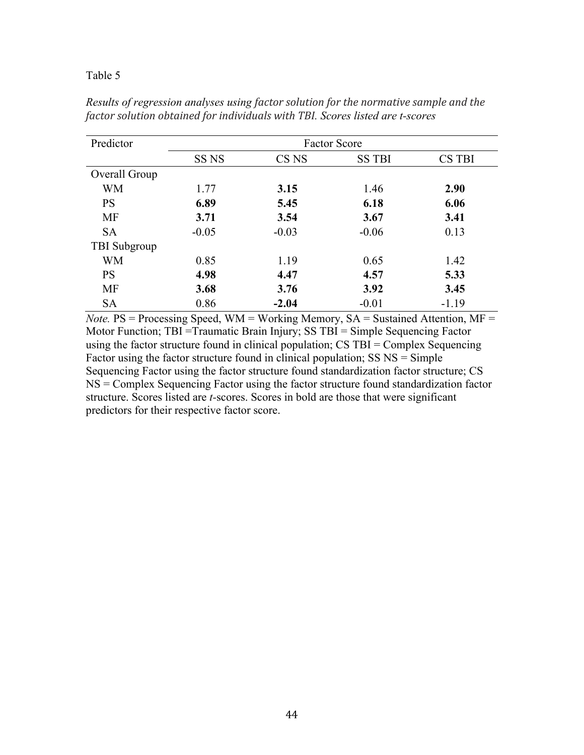| Predictor           | <b>Factor Score</b> |                  |               |               |  |  |  |
|---------------------|---------------------|------------------|---------------|---------------|--|--|--|
|                     | SS <sub>NS</sub>    | CS <sub>NS</sub> | <b>SS TBI</b> | <b>CS TBI</b> |  |  |  |
| Overall Group       |                     |                  |               |               |  |  |  |
| <b>WM</b>           | 1.77                | 3.15             | 1.46          | 2.90          |  |  |  |
| <b>PS</b>           | 6.89                | 5.45             | 6.18          | 6.06          |  |  |  |
| <b>MF</b>           | 3.71                | 3.54             | 3.67          | 3.41          |  |  |  |
| <b>SA</b>           | $-0.05$             | $-0.03$          | $-0.06$       | 0.13          |  |  |  |
| <b>TBI</b> Subgroup |                     |                  |               |               |  |  |  |
| <b>WM</b>           | 0.85                | 1.19             | 0.65          | 1.42          |  |  |  |
| <b>PS</b>           | 4.98                | 4.47             | 4.57          | 5.33          |  |  |  |
| <b>MF</b>           | 3.68                | 3.76             | 3.92          | 3.45          |  |  |  |
| <b>SA</b>           | 0.86                | $-2.04$          | $-0.01$       | $-1.19$       |  |  |  |

*Results of regression analyses using factor solution for the normative sample and the factor solution obtained for individuals with TBI. Scores listed are t-scores*

*Note.* PS = Processing Speed, WM = Working Memory, SA = Sustained Attention, MF = Motor Function; TBI =Traumatic Brain Injury; SS TBI = Simple Sequencing Factor using the factor structure found in clinical population; CS TBI = Complex Sequencing Factor using the factor structure found in clinical population; SS NS = Simple Sequencing Factor using the factor structure found standardization factor structure; CS NS = Complex Sequencing Factor using the factor structure found standardization factor structure. Scores listed are *t-*scores. Scores in bold are those that were significant predictors for their respective factor score.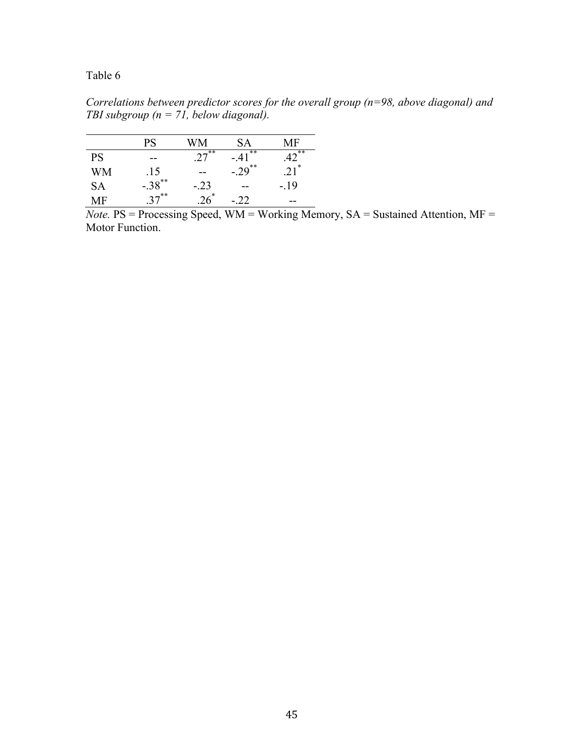*Correlations between predictor scores for the overall group (n=98, above diagonal) and TBI subgroup (n = 71, below diagonal).* 

|           | PS                   | WМ           | SА          | MF        |
|-----------|----------------------|--------------|-------------|-----------|
| <b>PS</b> | --                   | $2^{7^{**}}$ | .**<br>- 41 | $42^{**}$ |
| WM        | .15                  |              | $-29^{**}$  | $.21*$    |
| <b>SA</b> | $-.38$ <sup>**</sup> | -.23         | --          | $-19$     |
| MF        | $37***$              |              | - 22        | --        |

*Note.* PS = Processing Speed, WM = Working Memory, SA = Sustained Attention, MF = Motor Function.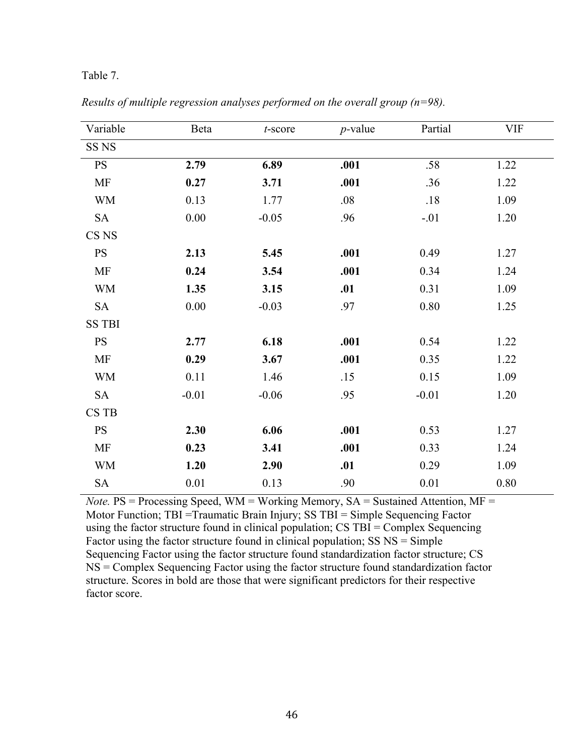#### Table 7.

| Variable         | Beta     | $t$ -score | $p$ -value | Partial  | <b>VIF</b> |
|------------------|----------|------------|------------|----------|------------|
| SS <sub>NS</sub> |          |            |            |          |            |
| <b>PS</b>        | 2.79     | 6.89       | .001       | .58      | 1.22       |
| MF               | 0.27     | 3.71       | .001       | .36      | 1.22       |
| <b>WM</b>        | 0.13     | 1.77       | .08        | .18      | 1.09       |
| <b>SA</b>        | 0.00     | $-0.05$    | .96        | $-.01$   | 1.20       |
| CS NS            |          |            |            |          |            |
| <b>PS</b>        | 2.13     | 5.45       | .001       | 0.49     | 1.27       |
| <b>MF</b>        | 0.24     | 3.54       | .001       | 0.34     | 1.24       |
| <b>WM</b>        | 1.35     | 3.15       | .01        | 0.31     | 1.09       |
| <b>SA</b>        | $0.00\,$ | $-0.03$    | .97        | $0.80\,$ | 1.25       |
| <b>SS TBI</b>    |          |            |            |          |            |
| <b>PS</b>        | 2.77     | 6.18       | .001       | 0.54     | 1.22       |
| MF               | 0.29     | 3.67       | .001       | 0.35     | 1.22       |
| <b>WM</b>        | 0.11     | 1.46       | .15        | 0.15     | 1.09       |
| <b>SA</b>        | $-0.01$  | $-0.06$    | .95        | $-0.01$  | 1.20       |
| CS TB            |          |            |            |          |            |
| <b>PS</b>        | 2.30     | 6.06       | .001       | 0.53     | 1.27       |
| MF               | 0.23     | 3.41       | .001       | 0.33     | 1.24       |
| <b>WM</b>        | 1.20     | 2.90       | .01        | 0.29     | 1.09       |
| <b>SA</b>        | 0.01     | 0.13       | .90        | 0.01     | 0.80       |

*Results of multiple regression analyses performed on the overall group (n=98).*

*Note.* PS = Processing Speed, WM = Working Memory, SA = Sustained Attention, MF = Motor Function; TBI =Traumatic Brain Injury; SS TBI = Simple Sequencing Factor using the factor structure found in clinical population; CS TBI = Complex Sequencing Factor using the factor structure found in clinical population; SS NS = Simple Sequencing Factor using the factor structure found standardization factor structure; CS NS = Complex Sequencing Factor using the factor structure found standardization factor structure. Scores in bold are those that were significant predictors for their respective factor score.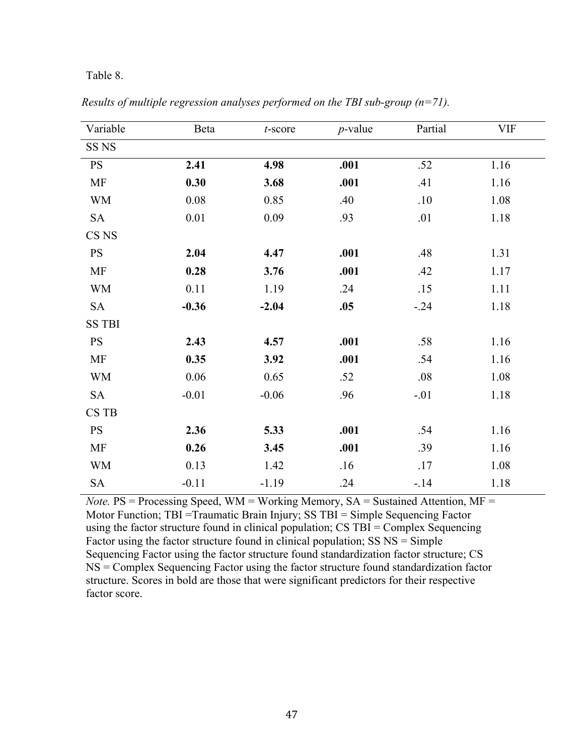#### Table 8.

| Variable         | Beta    | $t$ -score | $p$ -value | Partial | <b>VIF</b> |
|------------------|---------|------------|------------|---------|------------|
| SS <sub>NS</sub> |         |            |            |         |            |
| <b>PS</b>        | 2.41    | 4.98       | .001       | .52     | 1.16       |
| MF               | 0.30    | 3.68       | .001       | .41     | 1.16       |
| <b>WM</b>        | 0.08    | 0.85       | .40        | .10     | 1.08       |
| <b>SA</b>        | 0.01    | 0.09       | .93        | .01     | 1.18       |
| CS <sub>NS</sub> |         |            |            |         |            |
| <b>PS</b>        | 2.04    | 4.47       | .001       | .48     | 1.31       |
| MF               | 0.28    | 3.76       | .001       | .42     | 1.17       |
| <b>WM</b>        | 0.11    | 1.19       | .24        | .15     | 1.11       |
| <b>SA</b>        | $-0.36$ | $-2.04$    | .05        | $-0.24$ | 1.18       |
| <b>SS TBI</b>    |         |            |            |         |            |
| <b>PS</b>        | 2.43    | 4.57       | .001       | .58     | 1.16       |
| MF               | 0.35    | 3.92       | .001       | .54     | 1.16       |
| <b>WM</b>        | 0.06    | 0.65       | .52        | .08     | 1.08       |
| <b>SA</b>        | $-0.01$ | $-0.06$    | .96        | $-.01$  | 1.18       |
| CS TB            |         |            |            |         |            |
| <b>PS</b>        | 2.36    | 5.33       | .001       | .54     | 1.16       |
| MF               | 0.26    | 3.45       | .001       | .39     | 1.16       |
| <b>WM</b>        | 0.13    | 1.42       | .16        | .17     | 1.08       |
| <b>SA</b>        | $-0.11$ | $-1.19$    | .24        | $-14$   | 1.18       |

*Results of multiple regression analyses performed on the TBI sub-group (n=71).*

*Note.* PS = Processing Speed, WM = Working Memory, SA = Sustained Attention, MF = Motor Function; TBI =Traumatic Brain Injury; SS TBI = Simple Sequencing Factor using the factor structure found in clinical population; CS TBI = Complex Sequencing Factor using the factor structure found in clinical population; SS NS = Simple Sequencing Factor using the factor structure found standardization factor structure; CS NS = Complex Sequencing Factor using the factor structure found standardization factor structure. Scores in bold are those that were significant predictors for their respective factor score.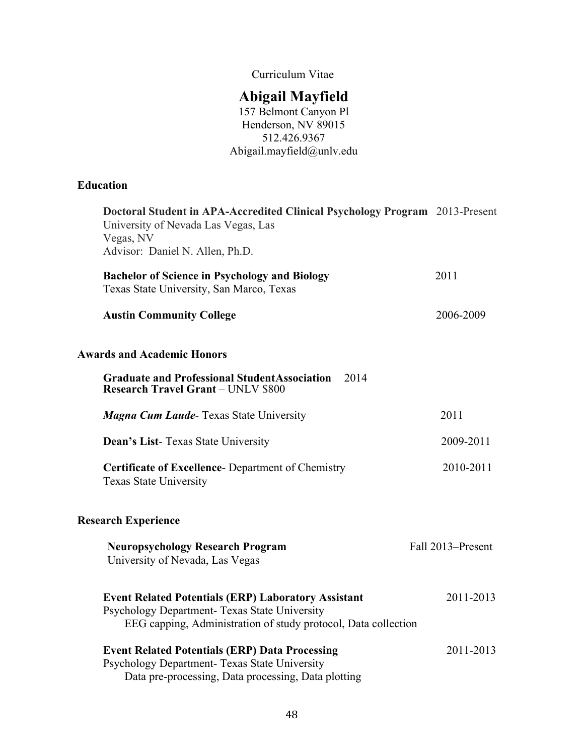Curriculum Vitae

# **Abigail Mayfield**

157 Belmont Canyon Pl Henderson, NV 89015 512.426.9367 Abigail.mayfield@unlv.edu

# **Education**

| Doctoral Student in APA-Accredited Clinical Psychology Program 2013-Present<br>University of Nevada Las Vegas, Las<br>Vegas, NV<br>Advisor: Daniel N. Allen, Ph.D.            |                   |
|-------------------------------------------------------------------------------------------------------------------------------------------------------------------------------|-------------------|
| <b>Bachelor of Science in Psychology and Biology</b><br>Texas State University, San Marco, Texas                                                                              | 2011              |
| <b>Austin Community College</b>                                                                                                                                               | 2006-2009         |
| <b>Awards and Academic Honors</b>                                                                                                                                             |                   |
| <b>Graduate and Professional Student Association</b><br>2014<br><b>Research Travel Grant - UNLV \$800</b>                                                                     |                   |
| <b>Magna Cum Laude-Texas State University</b>                                                                                                                                 | 2011              |
| <b>Dean's List-Texas State University</b>                                                                                                                                     | 2009-2011         |
| <b>Certificate of Excellence-</b> Department of Chemistry<br><b>Texas State University</b>                                                                                    | 2010-2011         |
| <b>Research Experience</b>                                                                                                                                                    |                   |
| <b>Neuropsychology Research Program</b><br>University of Nevada, Las Vegas                                                                                                    | Fall 2013–Present |
| <b>Event Related Potentials (ERP) Laboratory Assistant</b><br>Psychology Department- Texas State University<br>EEG capping, Administration of study protocol, Data collection | 2011-2013         |
| <b>Event Related Potentials (ERP) Data Processing</b><br>Psychology Department- Texas State University<br>Data pre-processing, Data processing, Data plotting                 | 2011-2013         |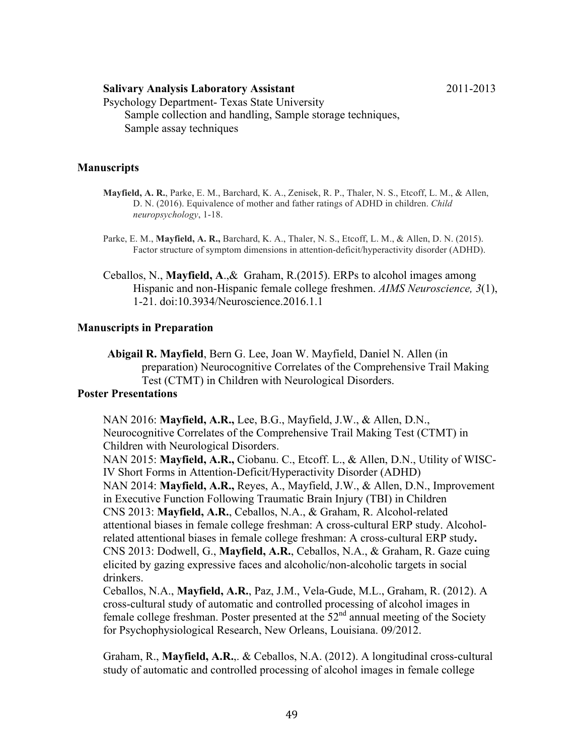#### **Salivary Analysis Laboratory Assistant** 2011-2013

Psychology Department- Texas State University Sample collection and handling, Sample storage techniques, Sample assay techniques

#### **Manuscripts**

- **Mayfield, A. R.**, Parke, E. M., Barchard, K. A., Zenisek, R. P., Thaler, N. S., Etcoff, L. M., & Allen, D. N. (2016). Equivalence of mother and father ratings of ADHD in children. *Child neuropsychology*, 1-18.
- Parke, E. M., **Mayfield, A. R.,** Barchard, K. A., Thaler, N. S., Etcoff, L. M., & Allen, D. N. (2015). Factor structure of symptom dimensions in attention-deficit/hyperactivity disorder (ADHD).
- Ceballos, N., **Mayfield, A**.,& Graham, R.(2015). ERPs to alcohol images among Hispanic and non-Hispanic female college freshmen. *AIMS Neuroscience, 3*(1), 1-21. doi:10.3934/Neuroscience.2016.1.1

#### **Manuscripts in Preparation**

**Abigail R. Mayfield**, Bern G. Lee, Joan W. Mayfield, Daniel N. Allen (in preparation) Neurocognitive Correlates of the Comprehensive Trail Making Test (CTMT) in Children with Neurological Disorders.

### **Poster Presentations**

NAN 2016: **Mayfield, A.R.,** Lee, B.G., Mayfield, J.W., & Allen, D.N., Neurocognitive Correlates of the Comprehensive Trail Making Test (CTMT) in Children with Neurological Disorders.

NAN 2015: **Mayfield, A.R.,** Ciobanu. C., Etcoff. L., & Allen, D.N., Utility of WISC-IV Short Forms in Attention-Deficit/Hyperactivity Disorder (ADHD) NAN 2014: **Mayfield, A.R.,** Reyes, A., Mayfield, J.W., & Allen, D.N., Improvement in Executive Function Following Traumatic Brain Injury (TBI) in Children CNS 2013: **Mayfield, A.R.**, Ceballos, N.A., & Graham, R. Alcohol-related attentional biases in female college freshman: A cross-cultural ERP study. Alcoholrelated attentional biases in female college freshman: A cross-cultural ERP study**.** CNS 2013: Dodwell, G., **Mayfield, A.R.**, Ceballos, N.A., & Graham, R. Gaze cuing elicited by gazing expressive faces and alcoholic/non-alcoholic targets in social drinkers.

Ceballos, N.A., **Mayfield, A.R.**, Paz, J.M., Vela-Gude, M.L., Graham, R. (2012). A cross-cultural study of automatic and controlled processing of alcohol images in female college freshman. Poster presented at the  $52<sup>nd</sup>$  annual meeting of the Society for Psychophysiological Research, New Orleans, Louisiana. 09/2012.

Graham, R., **Mayfield, A.R.**,. & Ceballos, N.A. (2012). A longitudinal cross-cultural study of automatic and controlled processing of alcohol images in female college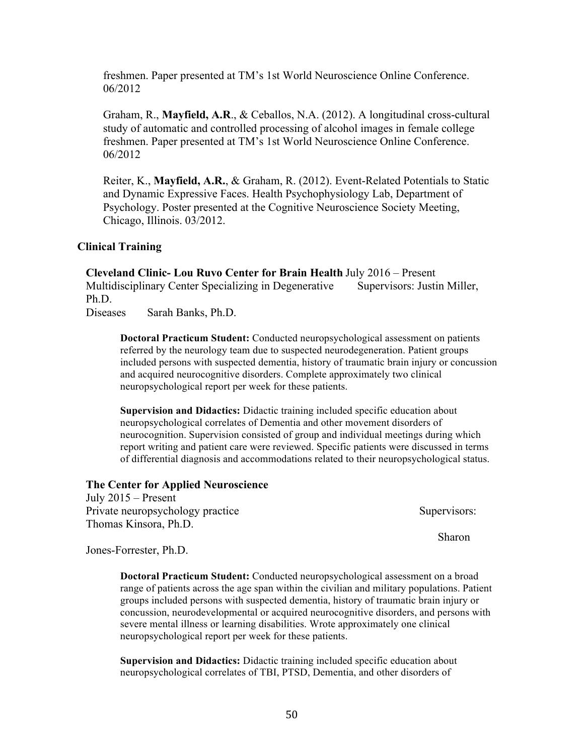freshmen. Paper presented at TM's 1st World Neuroscience Online Conference. 06/2012

Graham, R., **Mayfield, A.R**., & Ceballos, N.A. (2012). A longitudinal cross-cultural study of automatic and controlled processing of alcohol images in female college freshmen. Paper presented at TM's 1st World Neuroscience Online Conference. 06/2012

Reiter, K., **Mayfield, A.R.**, & Graham, R. (2012). Event-Related Potentials to Static and Dynamic Expressive Faces. Health Psychophysiology Lab, Department of Psychology. Poster presented at the Cognitive Neuroscience Society Meeting, Chicago, Illinois. 03/2012.

#### **Clinical Training**

**Cleveland Clinic- Lou Ruvo Center for Brain Health** July 2016 – Present Multidisciplinary Center Specializing in Degenerative Supervisors: Justin Miller, Ph.D.

Diseases Sarah Banks, Ph.D.

**Doctoral Practicum Student:** Conducted neuropsychological assessment on patients referred by the neurology team due to suspected neurodegeneration. Patient groups included persons with suspected dementia, history of traumatic brain injury or concussion and acquired neurocognitive disorders. Complete approximately two clinical neuropsychological report per week for these patients.

**Supervision and Didactics:** Didactic training included specific education about neuropsychological correlates of Dementia and other movement disorders of neurocognition. Supervision consisted of group and individual meetings during which report writing and patient care were reviewed. Specific patients were discussed in terms of differential diagnosis and accommodations related to their neuropsychological status.

#### **The Center for Applied Neuroscience**

July 2015 – Present Private neuropsychology practice Supervisors: Thomas Kinsora, Ph.D.

Sharon

Jones-Forrester, Ph.D.

**Doctoral Practicum Student:** Conducted neuropsychological assessment on a broad range of patients across the age span within the civilian and military populations. Patient groups included persons with suspected dementia, history of traumatic brain injury or concussion, neurodevelopmental or acquired neurocognitive disorders, and persons with severe mental illness or learning disabilities. Wrote approximately one clinical neuropsychological report per week for these patients.

**Supervision and Didactics:** Didactic training included specific education about neuropsychological correlates of TBI, PTSD, Dementia, and other disorders of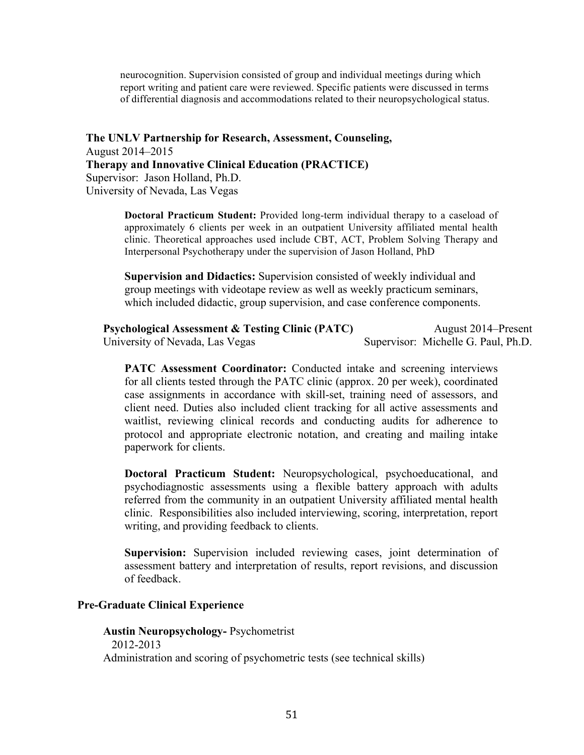neurocognition. Supervision consisted of group and individual meetings during which report writing and patient care were reviewed. Specific patients were discussed in terms of differential diagnosis and accommodations related to their neuropsychological status.

**The UNLV Partnership for Research, Assessment, Counseling,**  August 2014–2015 **Therapy and Innovative Clinical Education (PRACTICE)**  Supervisor: Jason Holland, Ph.D. University of Nevada, Las Vegas

> **Doctoral Practicum Student:** Provided long-term individual therapy to a caseload of approximately 6 clients per week in an outpatient University affiliated mental health clinic. Theoretical approaches used include CBT, ACT, Problem Solving Therapy and Interpersonal Psychotherapy under the supervision of Jason Holland, PhD

**Supervision and Didactics:** Supervision consisted of weekly individual and group meetings with videotape review as well as weekly practicum seminars, which included didactic, group supervision, and case conference components.

**Psychological Assessment & Testing Clinic (PATC)** August 2014–Present University of Nevada, Las Vegas Supervisor: Michelle G. Paul, Ph.D.

**PATC Assessment Coordinator:** Conducted intake and screening interviews for all clients tested through the PATC clinic (approx. 20 per week), coordinated case assignments in accordance with skill-set, training need of assessors, and client need. Duties also included client tracking for all active assessments and waitlist, reviewing clinical records and conducting audits for adherence to protocol and appropriate electronic notation, and creating and mailing intake paperwork for clients.

**Doctoral Practicum Student:** Neuropsychological, psychoeducational, and psychodiagnostic assessments using a flexible battery approach with adults referred from the community in an outpatient University affiliated mental health clinic. Responsibilities also included interviewing, scoring, interpretation, report writing, and providing feedback to clients.

**Supervision:** Supervision included reviewing cases, joint determination of assessment battery and interpretation of results, report revisions, and discussion of feedback.

#### **Pre-Graduate Clinical Experience**

**Austin Neuropsychology-** Psychometrist 2012-2013 Administration and scoring of psychometric tests (see technical skills)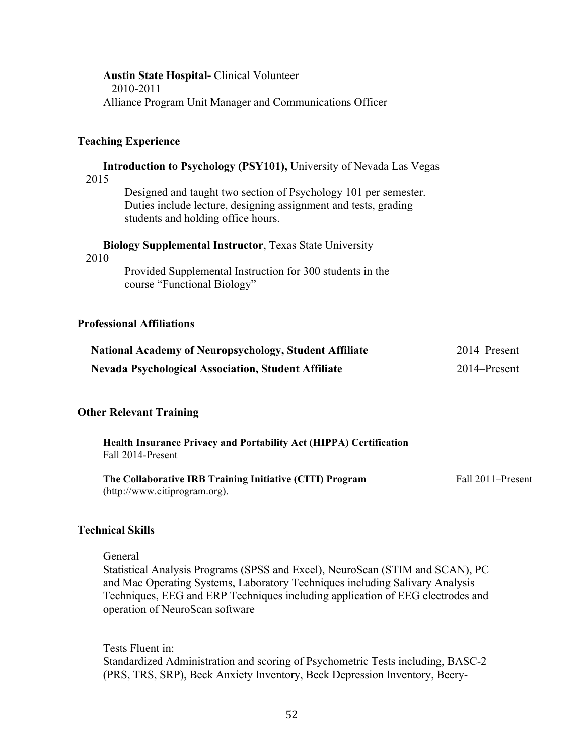| <b>Austin State Hospital-</b> Clinical Volunteer<br>2010-2011                                                                                                            |              |
|--------------------------------------------------------------------------------------------------------------------------------------------------------------------------|--------------|
| Alliance Program Unit Manager and Communications Officer                                                                                                                 |              |
| <b>Teaching Experience</b>                                                                                                                                               |              |
| <b>Introduction to Psychology (PSY101), University of Nevada Las Vegas</b><br>2015                                                                                       |              |
| Designed and taught two section of Psychology 101 per semester.<br>Duties include lecture, designing assignment and tests, grading<br>students and holding office hours. |              |
| <b>Biology Supplemental Instructor, Texas State University</b><br>2010                                                                                                   |              |
| Provided Supplemental Instruction for 300 students in the<br>course "Functional Biology"                                                                                 |              |
| <b>Professional Affiliations</b>                                                                                                                                         |              |
| <b>National Academy of Neuropsychology, Student Affiliate</b>                                                                                                            | 2014–Present |
| <b>Nevada Psychological Association, Student Affiliate</b>                                                                                                               | 2014–Present |
| <b>Other Relevant Training</b>                                                                                                                                           |              |
| Health Insurance Privacy and Portability Act (HIPPA) Certification                                                                                                       |              |

| The Collaborative IRB Training Initiative (CITI) Program | Fall 2011–Present |
|----------------------------------------------------------|-------------------|
| (http://www.citiprogram.org).                            |                   |

#### **Technical Skills**

Fall 2014-Present

#### General

Statistical Analysis Programs (SPSS and Excel), NeuroScan (STIM and SCAN), PC and Mac Operating Systems, Laboratory Techniques including Salivary Analysis Techniques, EEG and ERP Techniques including application of EEG electrodes and operation of NeuroScan software

Tests Fluent in: Standardized Administration and scoring of Psychometric Tests including, BASC-2 (PRS, TRS, SRP), Beck Anxiety Inventory, Beck Depression Inventory, Beery